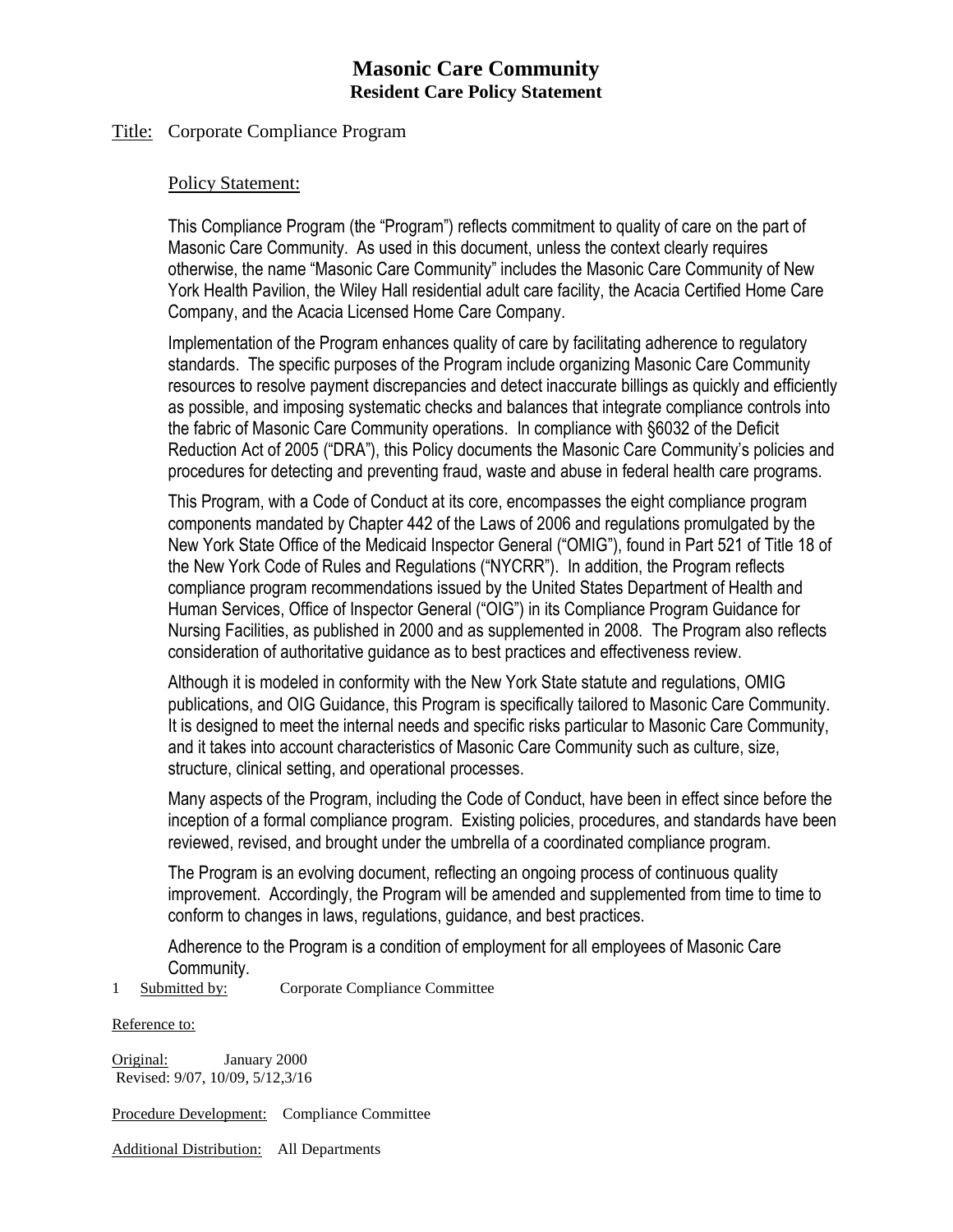### Title: Corporate Compliance Program

### Policy Statement:

This Compliance Program (the "Program") reflects commitment to quality of care on the part of Masonic Care Community. As used in this document, unless the context clearly requires otherwise, the name "Masonic Care Community" includes the Masonic Care Community of New York Health Pavilion, the Wiley Hall residential adult care facility, the Acacia Certified Home Care Company, and the Acacia Licensed Home Care Company.

Implementation of the Program enhances quality of care by facilitating adherence to regulatory standards. The specific purposes of the Program include organizing Masonic Care Community resources to resolve payment discrepancies and detect inaccurate billings as quickly and efficiently as possible, and imposing systematic checks and balances that integrate compliance controls into the fabric of Masonic Care Community operations. In compliance with §6032 of the Deficit Reduction Act of 2005 ("DRA"), this Policy documents the Masonic Care Community's policies and procedures for detecting and preventing fraud, waste and abuse in federal health care programs.

This Program, with a Code of Conduct at its core, encompasses the eight compliance program components mandated by Chapter 442 of the Laws of 2006 and regulations promulgated by the New York State Office of the Medicaid Inspector General ("OMIG"), found in Part 521 of Title 18 of the New York Code of Rules and Regulations ("NYCRR"). In addition, the Program reflects compliance program recommendations issued by the United States Department of Health and Human Services, Office of Inspector General ("OIG") in its Compliance Program Guidance for Nursing Facilities, as published in 2000 and as supplemented in 2008. The Program also reflects consideration of authoritative guidance as to best practices and effectiveness review.

Although it is modeled in conformity with the New York State statute and regulations, OMIG publications, and OIG Guidance, this Program is specifically tailored to Masonic Care Community. It is designed to meet the internal needs and specific risks particular to Masonic Care Community, and it takes into account characteristics of Masonic Care Community such as culture, size, structure, clinical setting, and operational processes.

Many aspects of the Program, including the Code of Conduct, have been in effect since before the inception of a formal compliance program. Existing policies, procedures, and standards have been reviewed, revised, and brought under the umbrella of a coordinated compliance program.

The Program is an evolving document, reflecting an ongoing process of continuous quality improvement. Accordingly, the Program will be amended and supplemented from time to time to conform to changes in laws, regulations, guidance, and best practices.

Adherence to the Program is a condition of employment for all employees of Masonic Care Community.

Submitted by: Corporate Compliance Committee 1

#### Reference to:

Original: January 2000 Revised: 9/07, 10/09, 5/12,3/16

Procedure Development: Compliance Committee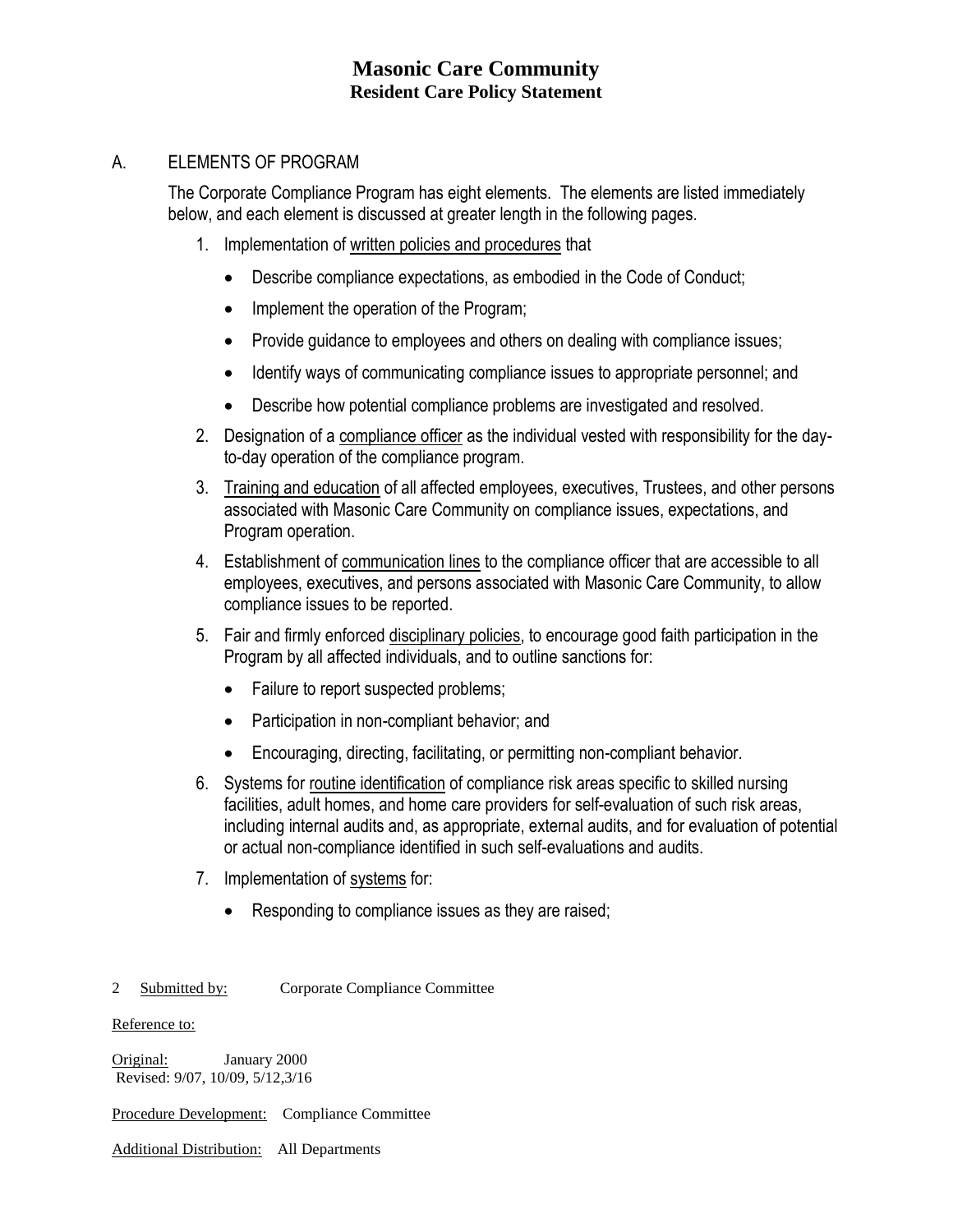# A. ELEMENTS OF PROGRAM

The Corporate Compliance Program has eight elements. The elements are listed immediately below, and each element is discussed at greater length in the following pages.

- 1. Implementation of written policies and procedures that
	- Describe compliance expectations, as embodied in the Code of Conduct;
	- Implement the operation of the Program;
	- Provide guidance to employees and others on dealing with compliance issues;
	- Identify ways of communicating compliance issues to appropriate personnel; and
	- Describe how potential compliance problems are investigated and resolved.
- 2. Designation of a compliance officer as the individual vested with responsibility for the dayto-day operation of the compliance program.
- 3. Training and education of all affected employees, executives, Trustees, and other persons associated with Masonic Care Community on compliance issues, expectations, and Program operation.
- 4. Establishment of communication lines to the compliance officer that are accessible to all employees, executives, and persons associated with Masonic Care Community, to allow compliance issues to be reported.
- 5. Fair and firmly enforced disciplinary policies, to encourage good faith participation in the Program by all affected individuals, and to outline sanctions for:
	- Failure to report suspected problems;
	- Participation in non-compliant behavior; and
	- Encouraging, directing, facilitating, or permitting non-compliant behavior.
- 6. Systems for routine identification of compliance risk areas specific to skilled nursing facilities, adult homes, and home care providers for self-evaluation of such risk areas, including internal audits and, as appropriate, external audits, and for evaluation of potential or actual non-compliance identified in such self-evaluations and audits.
- 7. Implementation of systems for:
	- Responding to compliance issues as they are raised;
- Corporate Compliance Committee 2 Submitted by:

#### Reference to:

Original: January 2000 Revised: 9/07, 10/09, 5/12,3/16

Procedure Development: Compliance Committee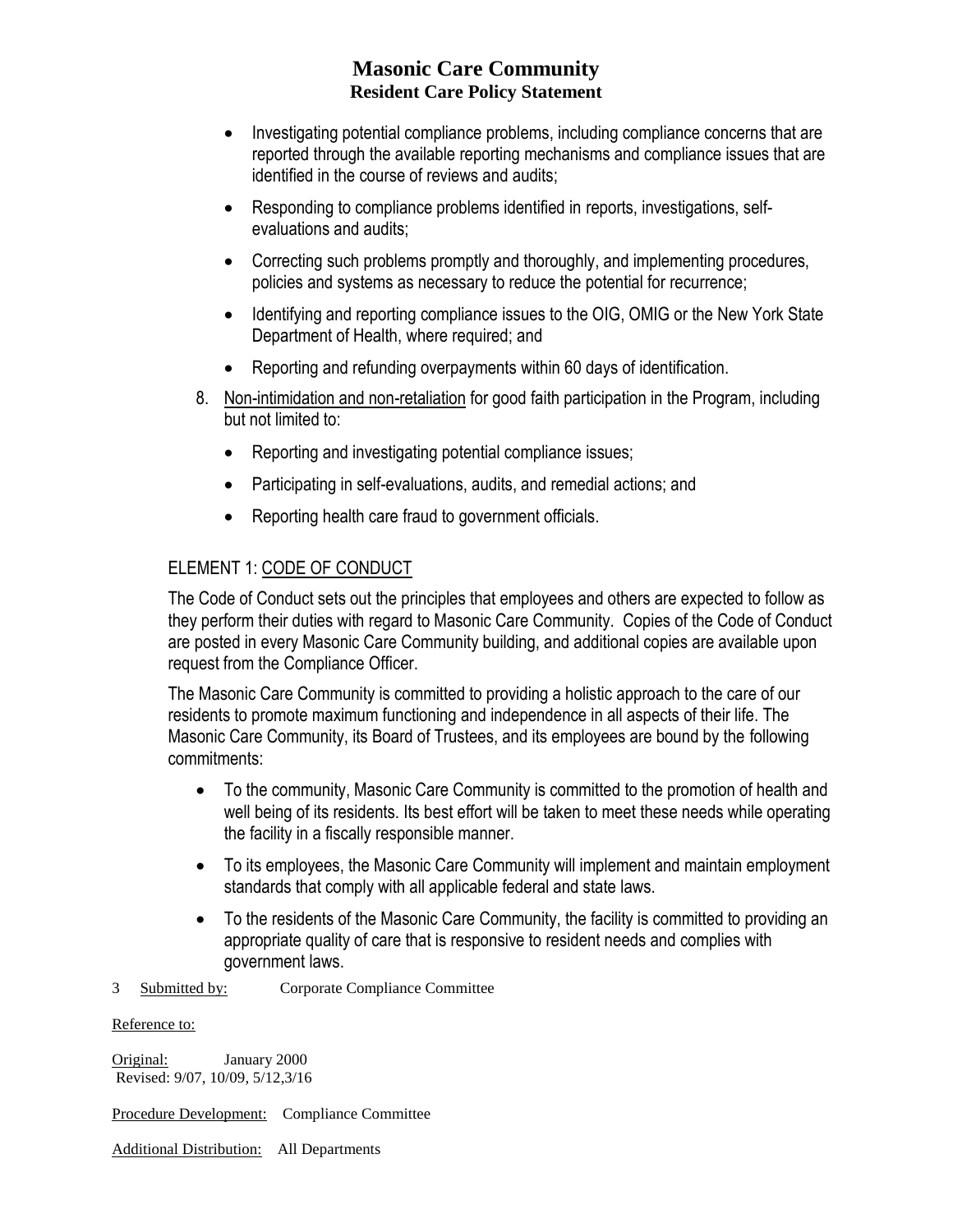- Investigating potential compliance problems, including compliance concerns that are reported through the available reporting mechanisms and compliance issues that are identified in the course of reviews and audits;
- Responding to compliance problems identified in reports, investigations, selfevaluations and audits;
- Correcting such problems promptly and thoroughly, and implementing procedures, policies and systems as necessary to reduce the potential for recurrence;
- Identifying and reporting compliance issues to the OIG, OMIG or the New York State Department of Health, where required; and
- Reporting and refunding overpayments within 60 days of identification.
- 8. Non-intimidation and non-retaliation for good faith participation in the Program, including but not limited to:
	- Reporting and investigating potential compliance issues;
	- Participating in self-evaluations, audits, and remedial actions; and
	- Reporting health care fraud to government officials.

# ELEMENT 1: CODE OF CONDUCT

The Code of Conduct sets out the principles that employees and others are expected to follow as they perform their duties with regard to Masonic Care Community. Copies of the Code of Conduct are posted in every Masonic Care Community building, and additional copies are available upon request from the Compliance Officer.

The Masonic Care Community is committed to providing a holistic approach to the care of our residents to promote maximum functioning and independence in all aspects of their life. The Masonic Care Community, its Board of Trustees, and its employees are bound by the following commitments:

- To the community, Masonic Care Community is committed to the promotion of health and well being of its residents. Its best effort will be taken to meet these needs while operating the facility in a fiscally responsible manner.
- To its employees, the Masonic Care Community will implement and maintain employment standards that comply with all applicable federal and state laws.
- To the residents of the Masonic Care Community, the facility is committed to providing an appropriate quality of care that is responsive to resident needs and complies with government laws.
- Submitted by: Corporate Compliance Committee 3

#### Reference to:

Original: January 2000 Revised: 9/07, 10/09, 5/12,3/16

Procedure Development: Compliance Committee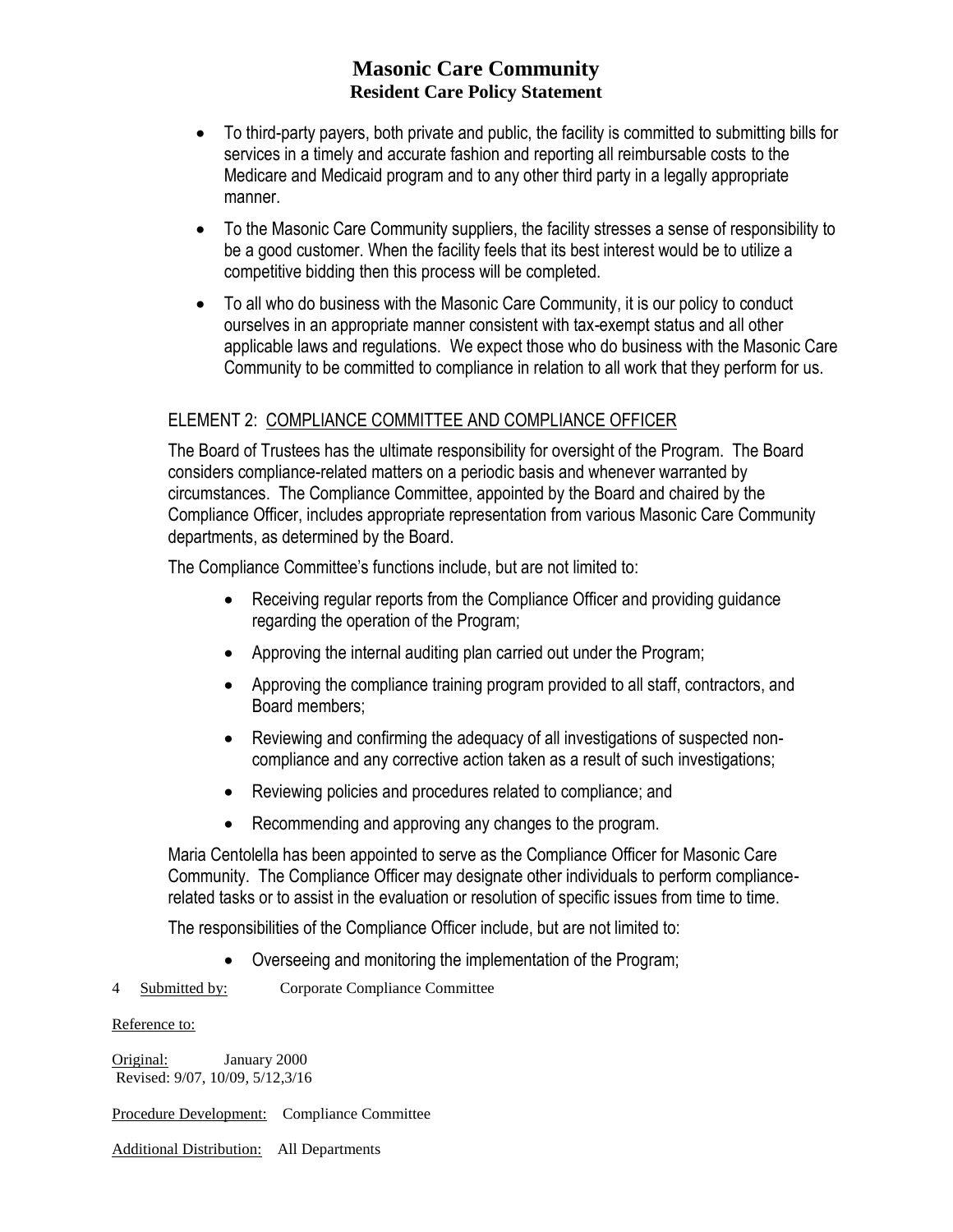- To third-party payers, both private and public, the facility is committed to submitting bills for services in a timely and accurate fashion and reporting all reimbursable costs to the Medicare and Medicaid program and to any other third party in a legally appropriate manner.
- To the Masonic Care Community suppliers, the facility stresses a sense of responsibility to be a good customer. When the facility feels that its best interest would be to utilize a competitive bidding then this process will be completed.
- To all who do business with the Masonic Care Community, it is our policy to conduct ourselves in an appropriate manner consistent with tax-exempt status and all other applicable laws and regulations. We expect those who do business with the Masonic Care Community to be committed to compliance in relation to all work that they perform for us.

# ELEMENT 2: COMPLIANCE COMMITTEE AND COMPLIANCE OFFICER

The Board of Trustees has the ultimate responsibility for oversight of the Program. The Board considers compliance-related matters on a periodic basis and whenever warranted by circumstances. The Compliance Committee, appointed by the Board and chaired by the Compliance Officer, includes appropriate representation from various Masonic Care Community departments, as determined by the Board.

The Compliance Committee's functions include, but are not limited to:

- Receiving regular reports from the Compliance Officer and providing guidance regarding the operation of the Program;
- Approving the internal auditing plan carried out under the Program;
- Approving the compliance training program provided to all staff, contractors, and Board members;
- Reviewing and confirming the adequacy of all investigations of suspected noncompliance and any corrective action taken as a result of such investigations;
- Reviewing policies and procedures related to compliance; and
- Recommending and approving any changes to the program.

Maria Centolella has been appointed to serve as the Compliance Officer for Masonic Care Community. The Compliance Officer may designate other individuals to perform compliancerelated tasks or to assist in the evaluation or resolution of specific issues from time to time.

The responsibilities of the Compliance Officer include, but are not limited to:

- Overseeing and monitoring the implementation of the Program;
- Corporate Compliance Committee 4 Submitted by:

#### Reference to:

Original: January 2000 Revised: 9/07, 10/09, 5/12,3/16

Procedure Development: Compliance Committee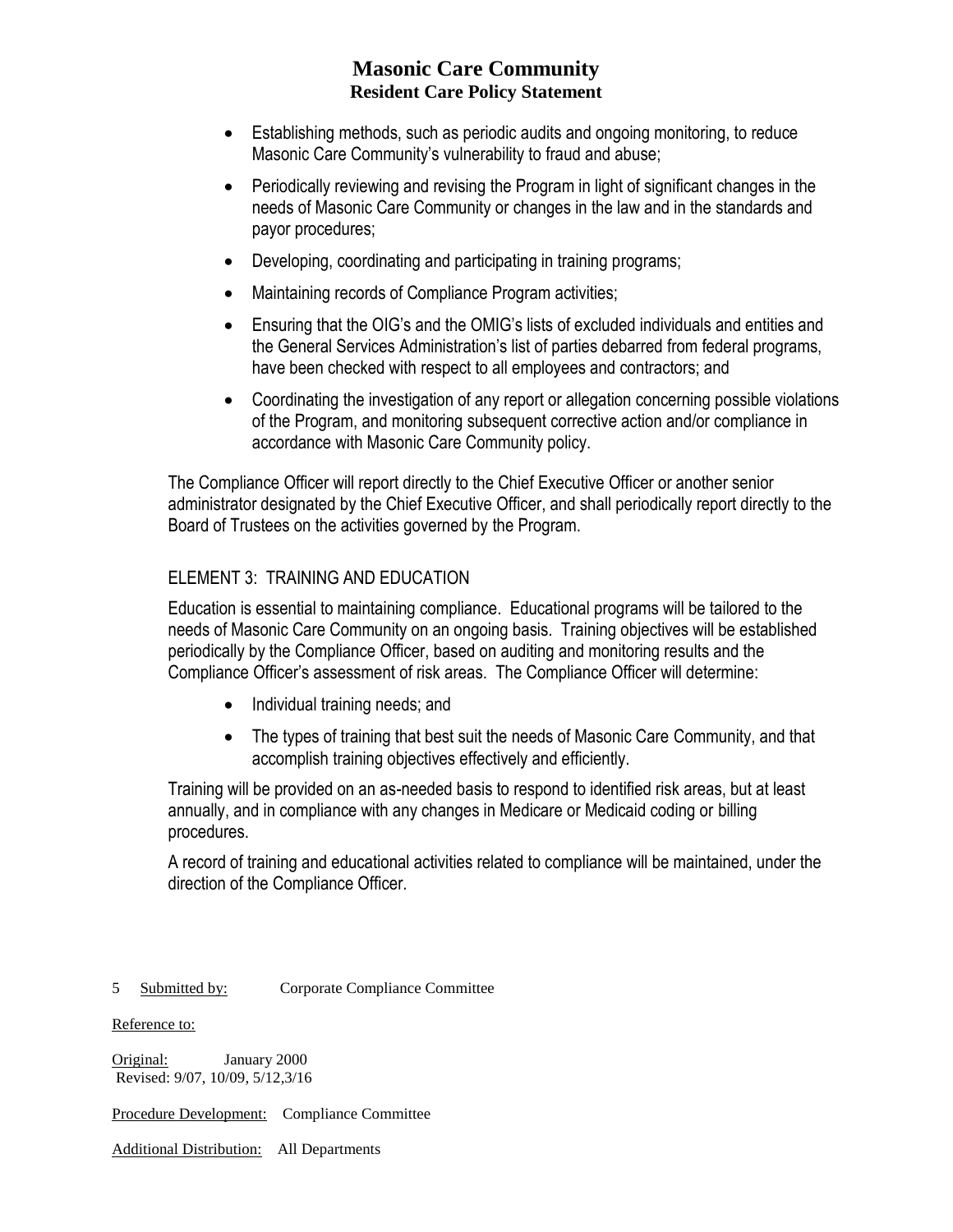- Establishing methods, such as periodic audits and ongoing monitoring, to reduce Masonic Care Community's vulnerability to fraud and abuse;
- Periodically reviewing and revising the Program in light of significant changes in the needs of Masonic Care Community or changes in the law and in the standards and payor procedures;
- Developing, coordinating and participating in training programs;
- Maintaining records of Compliance Program activities;
- Ensuring that the OIG's and the OMIG's lists of excluded individuals and entities and the General Services Administration's list of parties debarred from federal programs, have been checked with respect to all employees and contractors; and
- Coordinating the investigation of any report or allegation concerning possible violations of the Program, and monitoring subsequent corrective action and/or compliance in accordance with Masonic Care Community policy.

The Compliance Officer will report directly to the Chief Executive Officer or another senior administrator designated by the Chief Executive Officer, and shall periodically report directly to the Board of Trustees on the activities governed by the Program.

# ELEMENT 3: TRAINING AND EDUCATION

Education is essential to maintaining compliance. Educational programs will be tailored to the needs of Masonic Care Community on an ongoing basis. Training objectives will be established periodically by the Compliance Officer, based on auditing and monitoring results and the Compliance Officer's assessment of risk areas. The Compliance Officer will determine:

- Individual training needs; and
- The types of training that best suit the needs of Masonic Care Community, and that accomplish training objectives effectively and efficiently.

Training will be provided on an as-needed basis to respond to identified risk areas, but at least annually, and in compliance with any changes in Medicare or Medicaid coding or billing procedures.

A record of training and educational activities related to compliance will be maintained, under the direction of the Compliance Officer.

Corporate Compliance Committee 5 Submitted by:

Reference to:

Original: January 2000 Revised: 9/07, 10/09, 5/12,3/16

Procedure Development: Compliance Committee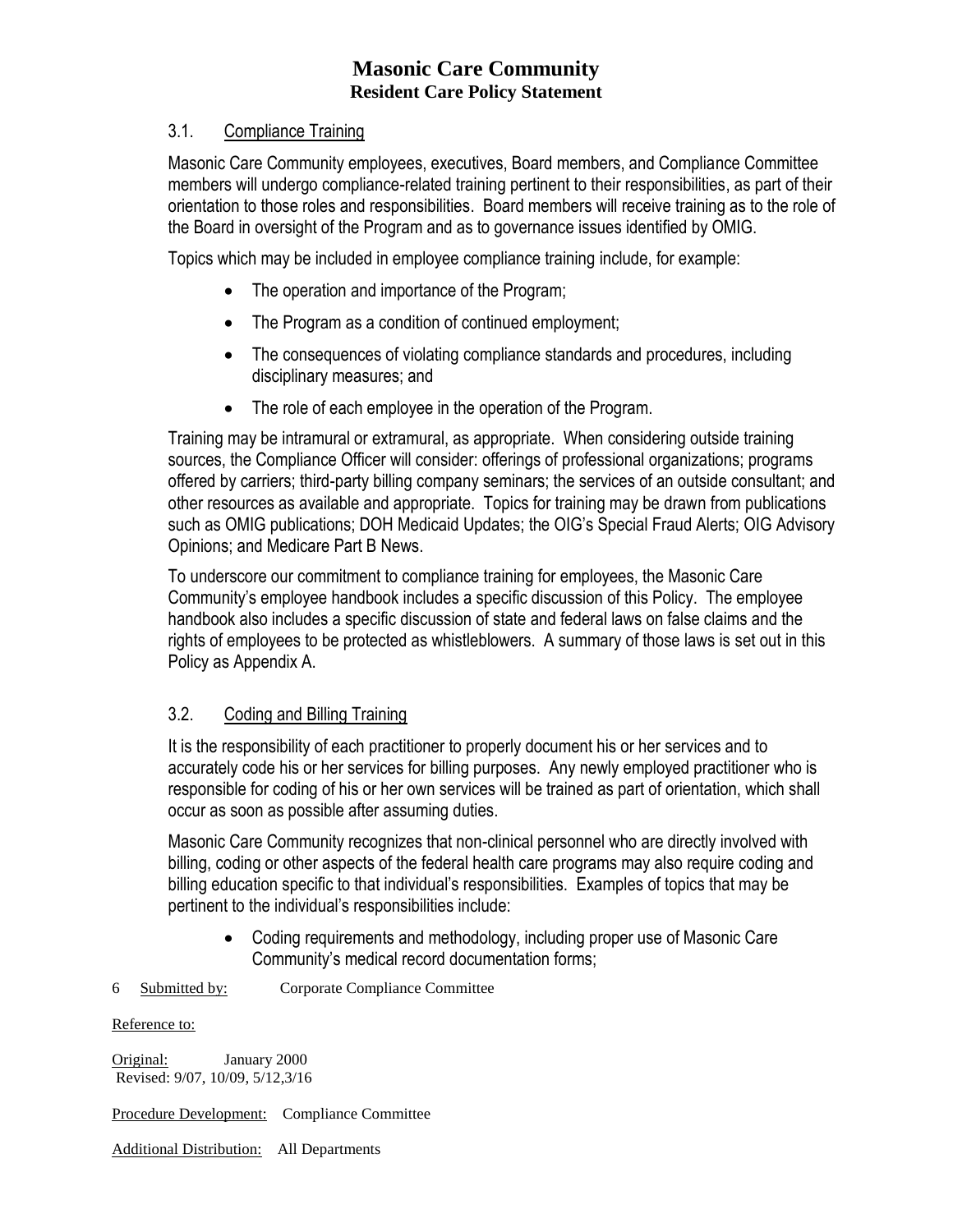# 3.1. Compliance Training

Masonic Care Community employees, executives, Board members, and Compliance Committee members will undergo compliance-related training pertinent to their responsibilities, as part of their orientation to those roles and responsibilities. Board members will receive training as to the role of the Board in oversight of the Program and as to governance issues identified by OMIG.

Topics which may be included in employee compliance training include, for example:

- The operation and importance of the Program;
- The Program as a condition of continued employment;
- The consequences of violating compliance standards and procedures, including disciplinary measures; and
- The role of each employee in the operation of the Program.

Training may be intramural or extramural, as appropriate. When considering outside training sources, the Compliance Officer will consider: offerings of professional organizations; programs offered by carriers; third-party billing company seminars; the services of an outside consultant; and other resources as available and appropriate. Topics for training may be drawn from publications such as OMIG publications; DOH Medicaid Updates; the OIG's Special Fraud Alerts; OIG Advisory Opinions; and Medicare Part B News.

To underscore our commitment to compliance training for employees, the Masonic Care Community's employee handbook includes a specific discussion of this Policy. The employee handbook also includes a specific discussion of state and federal laws on false claims and the rights of employees to be protected as whistleblowers. A summary of those laws is set out in this Policy as Appendix A.

# 3.2. Coding and Billing Training

It is the responsibility of each practitioner to properly document his or her services and to accurately code his or her services for billing purposes. Any newly employed practitioner who is responsible for coding of his or her own services will be trained as part of orientation, which shall occur as soon as possible after assuming duties.

Masonic Care Community recognizes that non-clinical personnel who are directly involved with billing, coding or other aspects of the federal health care programs may also require coding and billing education specific to that individual's responsibilities. Examples of topics that may be pertinent to the individual's responsibilities include:

- Coding requirements and methodology, including proper use of Masonic Care Community's medical record documentation forms;
- Submitted by: Corporate Compliance Committee 6

#### Reference to:

Original: January 2000 Revised: 9/07, 10/09, 5/12,3/16

Procedure Development: Compliance Committee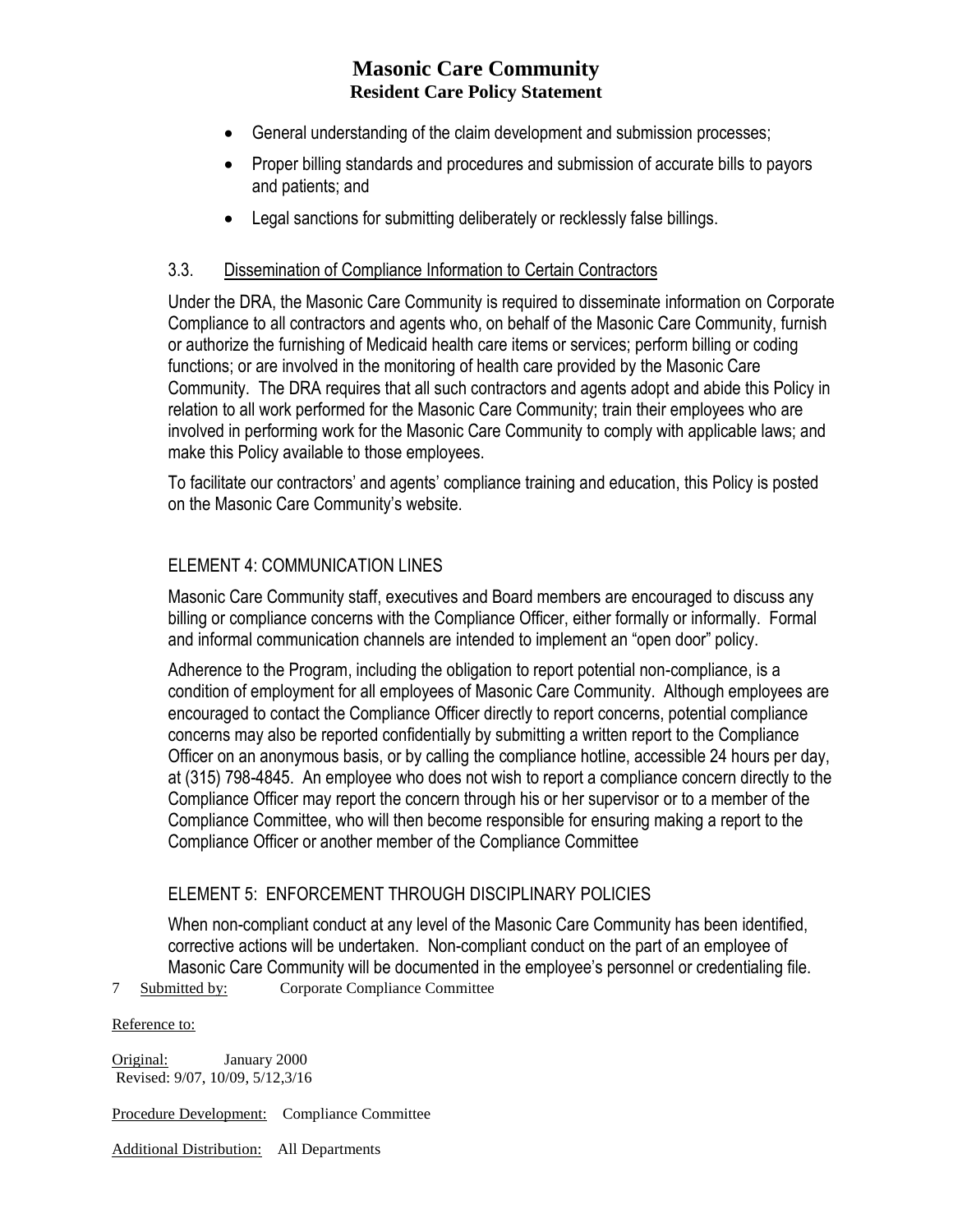- General understanding of the claim development and submission processes;
- Proper billing standards and procedures and submission of accurate bills to payors and patients; and
- Legal sanctions for submitting deliberately or recklessly false billings.

# 3.3. Dissemination of Compliance Information to Certain Contractors

Under the DRA, the Masonic Care Community is required to disseminate information on Corporate Compliance to all contractors and agents who, on behalf of the Masonic Care Community, furnish or authorize the furnishing of Medicaid health care items or services; perform billing or coding functions; or are involved in the monitoring of health care provided by the Masonic Care Community. The DRA requires that all such contractors and agents adopt and abide this Policy in relation to all work performed for the Masonic Care Community; train their employees who are involved in performing work for the Masonic Care Community to comply with applicable laws; and make this Policy available to those employees.

To facilitate our contractors' and agents' compliance training and education, this Policy is posted on the Masonic Care Community's website.

# ELEMENT 4: COMMUNICATION LINES

Masonic Care Community staff, executives and Board members are encouraged to discuss any billing or compliance concerns with the Compliance Officer, either formally or informally. Formal and informal communication channels are intended to implement an "open door" policy.

Adherence to the Program, including the obligation to report potential non-compliance, is a condition of employment for all employees of Masonic Care Community. Although employees are encouraged to contact the Compliance Officer directly to report concerns, potential compliance concerns may also be reported confidentially by submitting a written report to the Compliance Officer on an anonymous basis, or by calling the compliance hotline, accessible 24 hours per day, at (315) 798-4845. An employee who does not wish to report a compliance concern directly to the Compliance Officer may report the concern through his or her supervisor or to a member of the Compliance Committee, who will then become responsible for ensuring making a report to the Compliance Officer or another member of the Compliance Committee

# ELEMENT 5: ENFORCEMENT THROUGH DISCIPLINARY POLICIES

When non-compliant conduct at any level of the Masonic Care Community has been identified, corrective actions will be undertaken. Non-compliant conduct on the part of an employee of Masonic Care Community will be documented in the employee's personnel or credentialing file.

Submitted by: Corporate Compliance Committee 7

#### Reference to:

Original: January 2000 Revised: 9/07, 10/09, 5/12,3/16

Procedure Development: Compliance Committee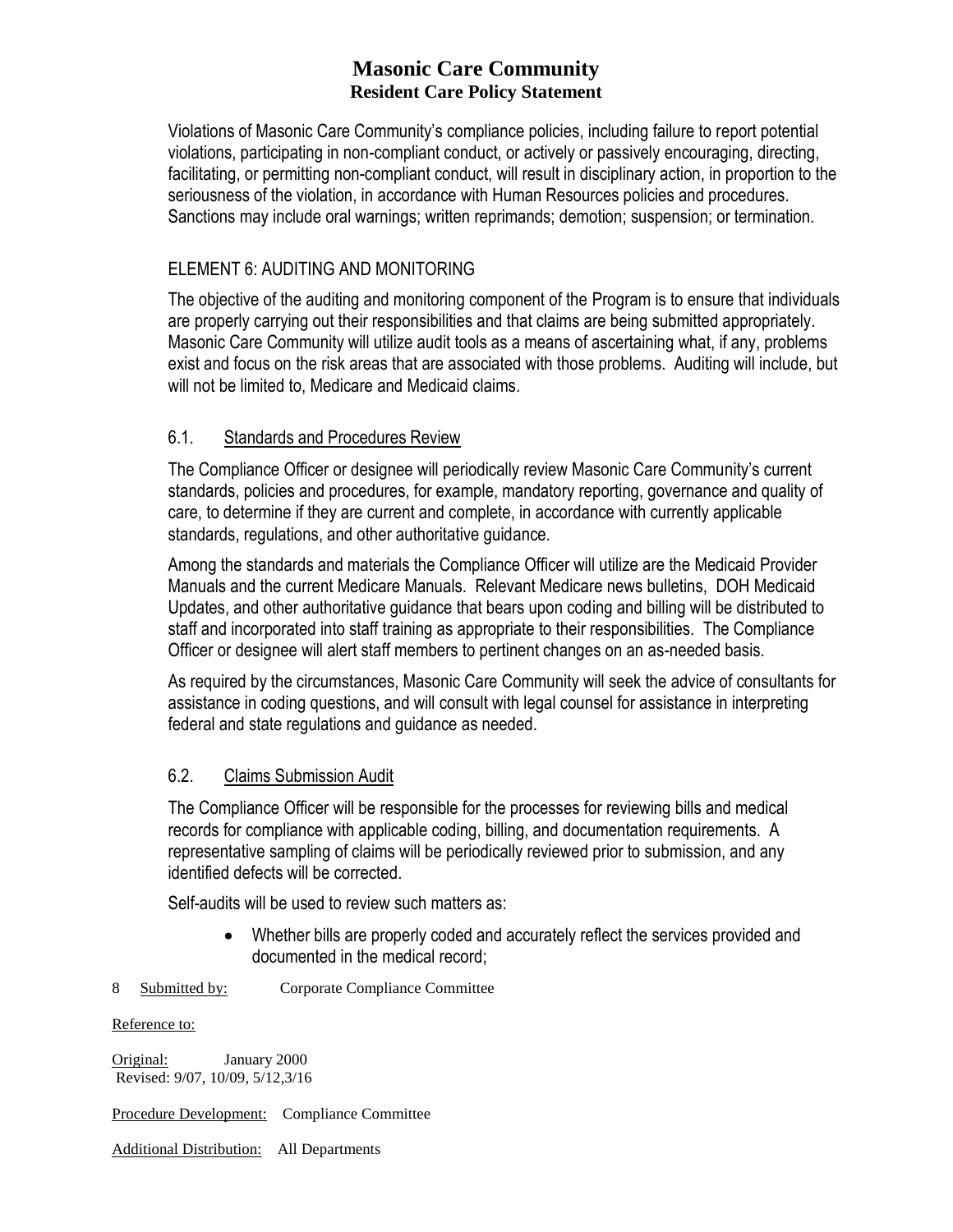Violations of Masonic Care Community's compliance policies, including failure to report potential violations, participating in non-compliant conduct, or actively or passively encouraging, directing, facilitating, or permitting non-compliant conduct, will result in disciplinary action, in proportion to the seriousness of the violation, in accordance with Human Resources policies and procedures. Sanctions may include oral warnings; written reprimands; demotion; suspension; or termination.

# ELEMENT 6: AUDITING AND MONITORING

The objective of the auditing and monitoring component of the Program is to ensure that individuals are properly carrying out their responsibilities and that claims are being submitted appropriately. Masonic Care Community will utilize audit tools as a means of ascertaining what, if any, problems exist and focus on the risk areas that are associated with those problems. Auditing will include, but will not be limited to, Medicare and Medicaid claims.

# 6.1. Standards and Procedures Review

The Compliance Officer or designee will periodically review Masonic Care Community's current standards, policies and procedures, for example, mandatory reporting, governance and quality of care, to determine if they are current and complete, in accordance with currently applicable standards, regulations, and other authoritative guidance.

Among the standards and materials the Compliance Officer will utilize are the Medicaid Provider Manuals and the current Medicare Manuals. Relevant Medicare news bulletins, DOH Medicaid Updates, and other authoritative guidance that bears upon coding and billing will be distributed to staff and incorporated into staff training as appropriate to their responsibilities. The Compliance Officer or designee will alert staff members to pertinent changes on an as-needed basis.

As required by the circumstances, Masonic Care Community will seek the advice of consultants for assistance in coding questions, and will consult with legal counsel for assistance in interpreting federal and state regulations and guidance as needed.

# 6.2. Claims Submission Audit

The Compliance Officer will be responsible for the processes for reviewing bills and medical records for compliance with applicable coding, billing, and documentation requirements. A representative sampling of claims will be periodically reviewed prior to submission, and any identified defects will be corrected.

Self-audits will be used to review such matters as:

- Whether bills are properly coded and accurately reflect the services provided and documented in the medical record;
- Submitted by: Corporate Compliance Committee 8

#### Reference to:

Original: January 2000 Revised: 9/07, 10/09, 5/12,3/16

Procedure Development: Compliance Committee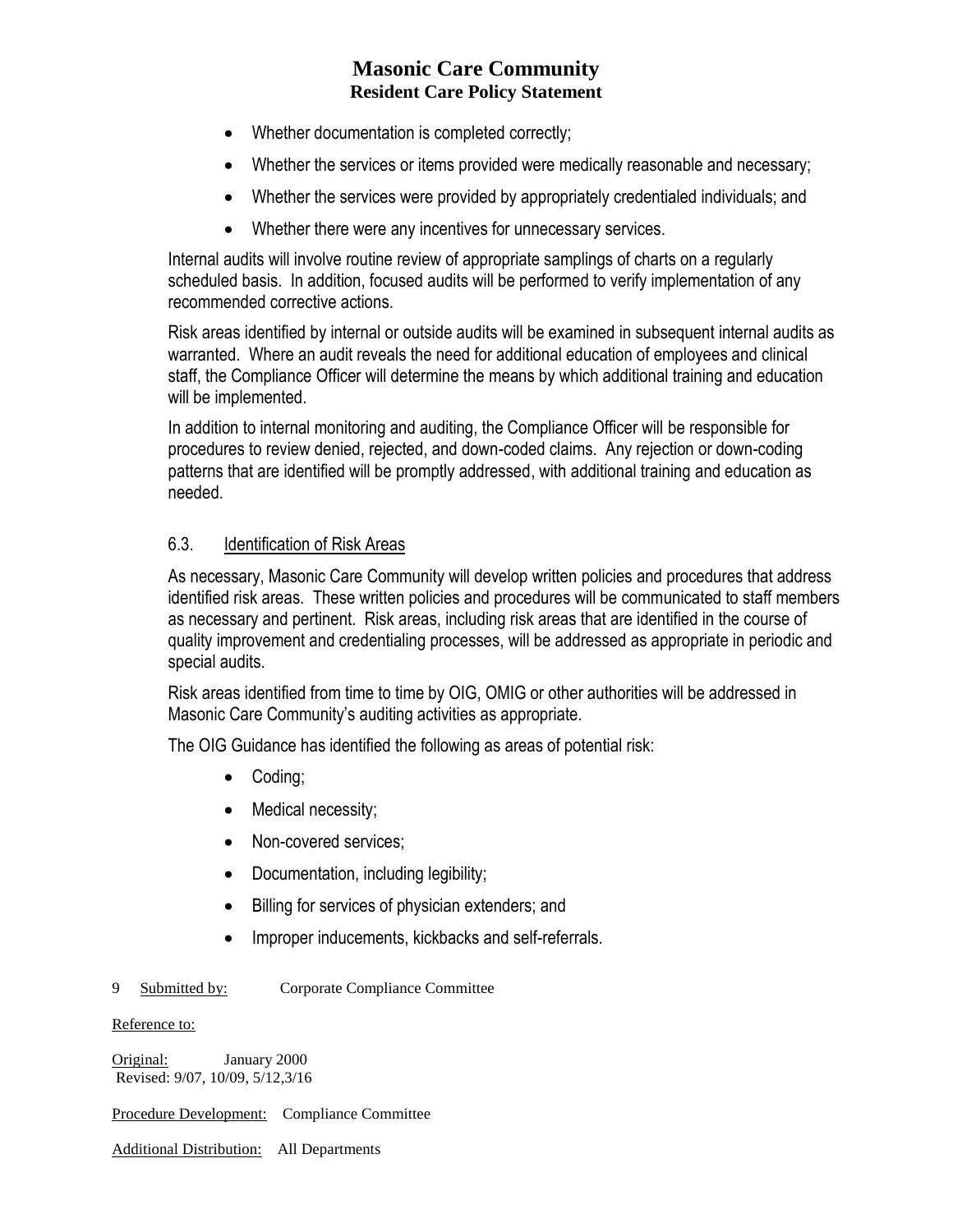- Whether documentation is completed correctly;
- Whether the services or items provided were medically reasonable and necessary;
- Whether the services were provided by appropriately credentialed individuals; and
- Whether there were any incentives for unnecessary services.

Internal audits will involve routine review of appropriate samplings of charts on a regularly scheduled basis. In addition, focused audits will be performed to verify implementation of any recommended corrective actions.

Risk areas identified by internal or outside audits will be examined in subsequent internal audits as warranted. Where an audit reveals the need for additional education of employees and clinical staff, the Compliance Officer will determine the means by which additional training and education will be implemented.

In addition to internal monitoring and auditing, the Compliance Officer will be responsible for procedures to review denied, rejected, and down-coded claims. Any rejection or down-coding patterns that are identified will be promptly addressed, with additional training and education as needed.

# 6.3. Identification of Risk Areas

As necessary, Masonic Care Community will develop written policies and procedures that address identified risk areas. These written policies and procedures will be communicated to staff members as necessary and pertinent. Risk areas, including risk areas that are identified in the course of quality improvement and credentialing processes, will be addressed as appropriate in periodic and special audits.

Risk areas identified from time to time by OIG, OMIG or other authorities will be addressed in Masonic Care Community's auditing activities as appropriate.

The OIG Guidance has identified the following as areas of potential risk:

- Coding;
- Medical necessity;
- Non-covered services;
- Documentation, including legibility;
- Billing for services of physician extenders; and
- Improper inducements, kickbacks and self-referrals.
- Submitted by: Corporate Compliance Committee 9

#### Reference to:

Original: January 2000 Revised: 9/07, 10/09, 5/12,3/16

Procedure Development: Compliance Committee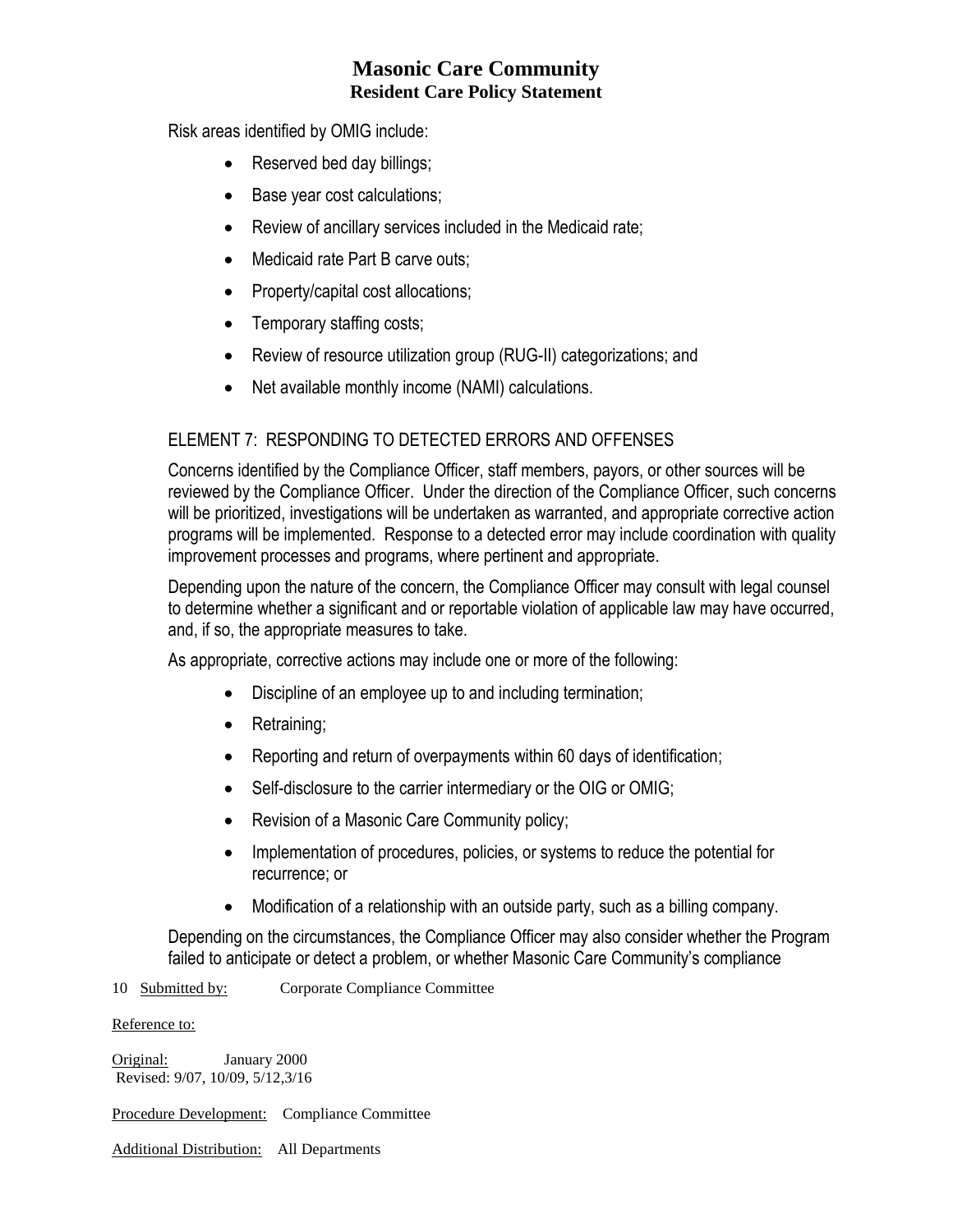Risk areas identified by OMIG include:

- Reserved bed day billings;
- Base year cost calculations;
- Review of ancillary services included in the Medicaid rate;
- Medicaid rate Part B carve outs;
- Property/capital cost allocations;
- Temporary staffing costs;
- Review of resource utilization group (RUG-II) categorizations; and
- Net available monthly income (NAMI) calculations.

# ELEMENT 7: RESPONDING TO DETECTED ERRORS AND OFFENSES

Concerns identified by the Compliance Officer, staff members, payors, or other sources will be reviewed by the Compliance Officer. Under the direction of the Compliance Officer, such concerns will be prioritized, investigations will be undertaken as warranted, and appropriate corrective action programs will be implemented. Response to a detected error may include coordination with quality improvement processes and programs, where pertinent and appropriate.

Depending upon the nature of the concern, the Compliance Officer may consult with legal counsel to determine whether a significant and or reportable violation of applicable law may have occurred, and, if so, the appropriate measures to take.

As appropriate, corrective actions may include one or more of the following:

- Discipline of an employee up to and including termination;
- Retraining;
- Reporting and return of overpayments within 60 days of identification;
- Self-disclosure to the carrier intermediary or the OIG or OMIG;
- Revision of a Masonic Care Community policy;
- Implementation of procedures, policies, or systems to reduce the potential for recurrence; or
- Modification of a relationship with an outside party, such as a billing company.

Depending on the circumstances, the Compliance Officer may also consider whether the Program failed to anticipate or detect a problem, or whether Masonic Care Community's compliance

#### Corporate Compliance Committee 10 Submitted by:

#### Reference to:

Original: January 2000 Revised: 9/07, 10/09, 5/12,3/16

Procedure Development: Compliance Committee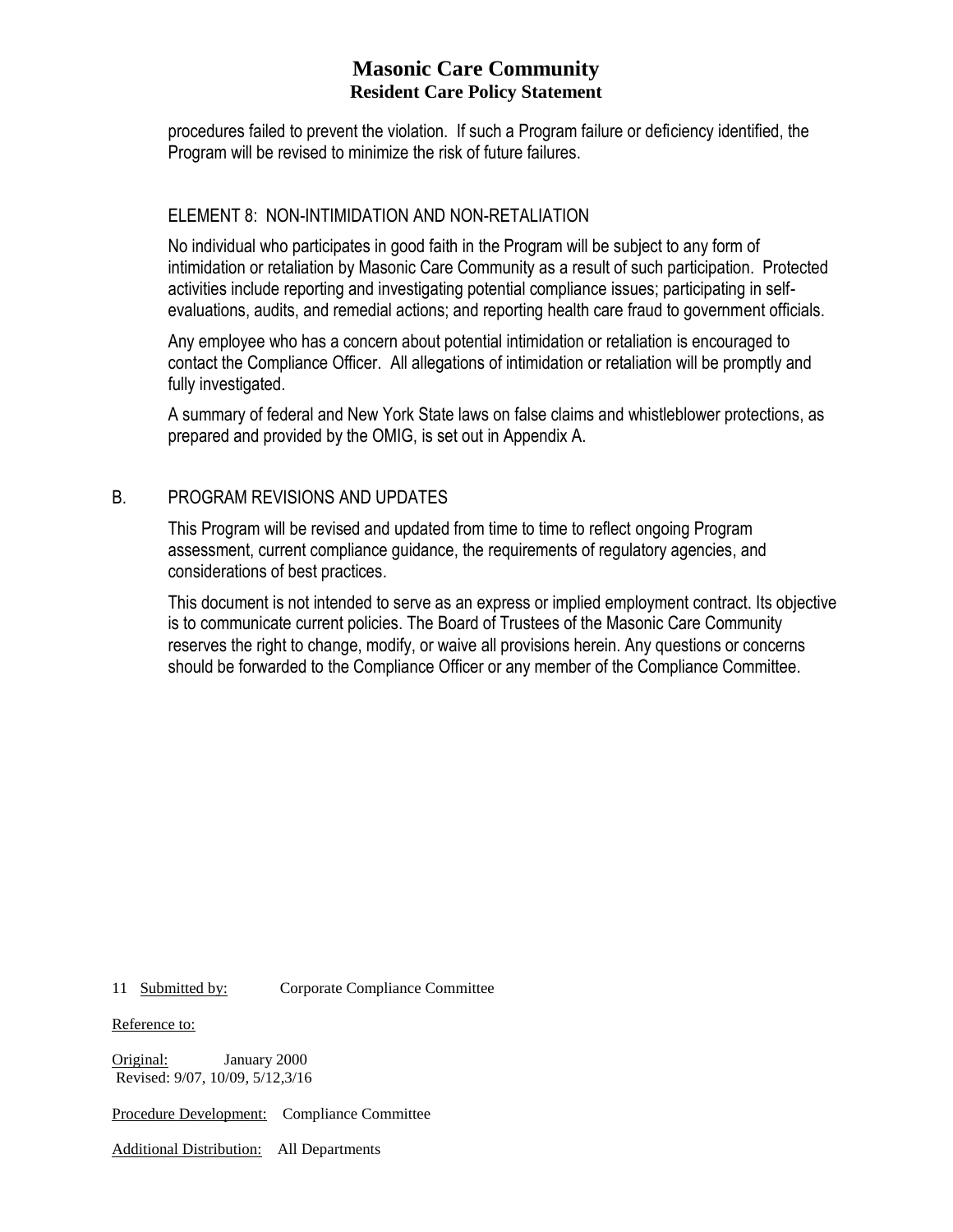procedures failed to prevent the violation. If such a Program failure or deficiency identified, the Program will be revised to minimize the risk of future failures.

### ELEMENT 8: NON-INTIMIDATION AND NON-RETALIATION

No individual who participates in good faith in the Program will be subject to any form of intimidation or retaliation by Masonic Care Community as a result of such participation. Protected activities include reporting and investigating potential compliance issues; participating in selfevaluations, audits, and remedial actions; and reporting health care fraud to government officials.

Any employee who has a concern about potential intimidation or retaliation is encouraged to contact the Compliance Officer. All allegations of intimidation or retaliation will be promptly and fully investigated.

A summary of federal and New York State laws on false claims and whistleblower protections, as prepared and provided by the OMIG, is set out in Appendix A.

# B. PROGRAM REVISIONS AND UPDATES

This Program will be revised and updated from time to time to reflect ongoing Program assessment, current compliance guidance, the requirements of regulatory agencies, and considerations of best practices.

This document is not intended to serve as an express or implied employment contract. Its objective is to communicate current policies. The Board of Trustees of the Masonic Care Community reserves the right to change, modify, or waive all provisions herein. Any questions or concerns should be forwarded to the Compliance Officer or any member of the Compliance Committee.

Corporate Compliance Committee 11 Submitted by:

Reference to:

Original: January 2000 Revised: 9/07, 10/09, 5/12,3/16

Procedure Development: Compliance Committee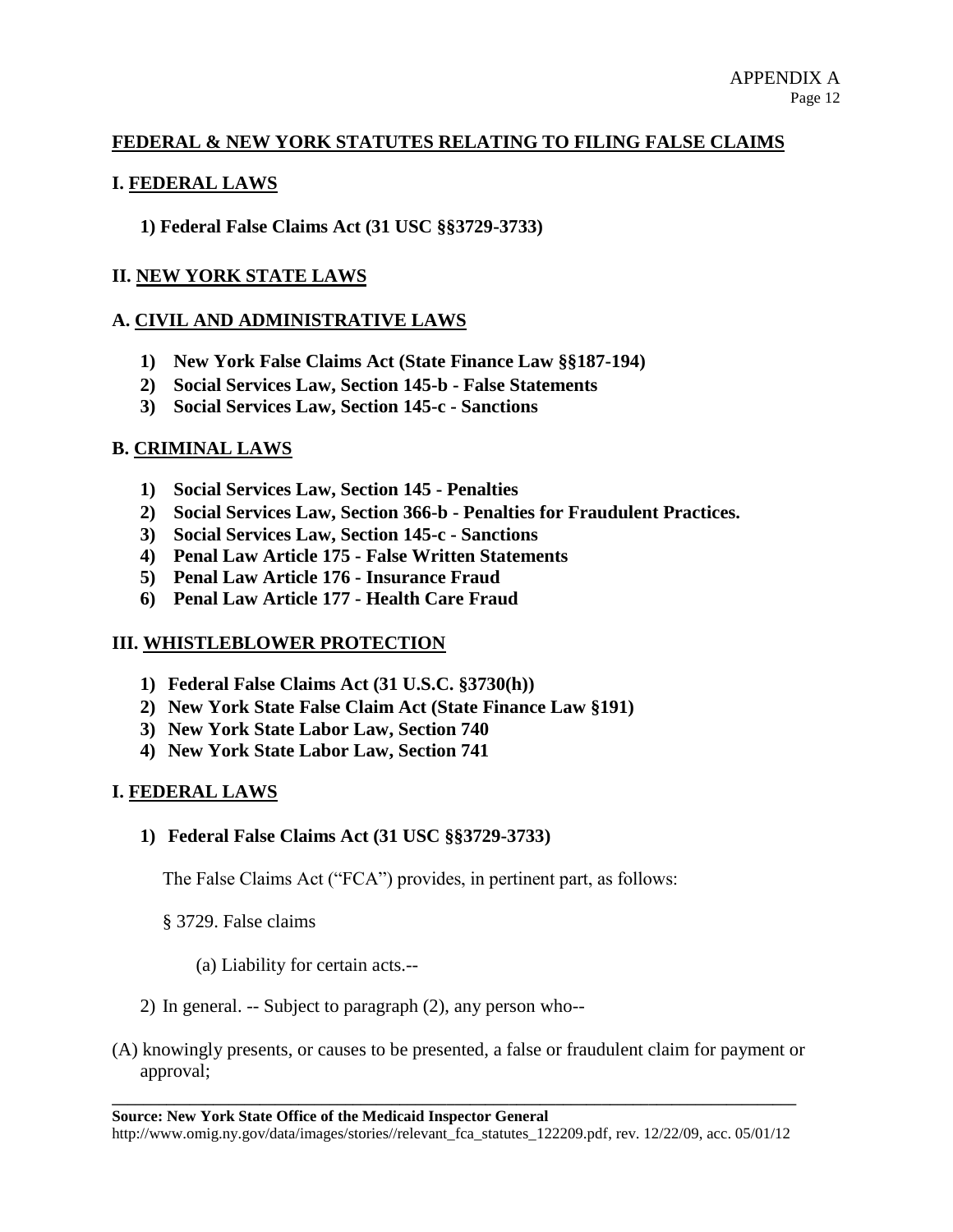# **FEDERAL & NEW YORK STATUTES RELATING TO FILING FALSE CLAIMS**

# **I. FEDERAL LAWS**

**1) Federal False Claims Act (31 USC §§3729-3733)**

# **II. NEW YORK STATE LAWS**

# **A. CIVIL AND ADMINISTRATIVE LAWS**

- **1) New York False Claims Act (State Finance Law §§187-194)**
- **2) Social Services Law, Section 145-b - False Statements**
- **3) Social Services Law, Section 145-c - Sanctions**

# **B. CRIMINAL LAWS**

- **1) Social Services Law, Section 145 - Penalties**
- **2) Social Services Law, Section 366-b - Penalties for Fraudulent Practices.**
- **3) Social Services Law, Section 145-c - Sanctions**
- **4) Penal Law Article 175 - False Written Statements**
- **5) Penal Law Article 176 - Insurance Fraud**
- **6) Penal Law Article 177 - Health Care Fraud**

### **III. WHISTLEBLOWER PROTECTION**

- **1) Federal False Claims Act (31 U.S.C. §3730(h))**
- **2) New York State False Claim Act (State Finance Law §191)**
- **3) New York State Labor Law, Section 740**
- **4) New York State Labor Law, Section 741**

### **I. FEDERAL LAWS**

### **1) Federal False Claims Act (31 USC §§3729-3733)**

The False Claims Act ("FCA") provides, in pertinent part, as follows:

§ 3729. False claims

- (a) Liability for certain acts.--
- 2) In general. -- Subject to paragraph (2), any person who--
- (A) knowingly presents, or causes to be presented, a false or fraudulent claim for payment or approval;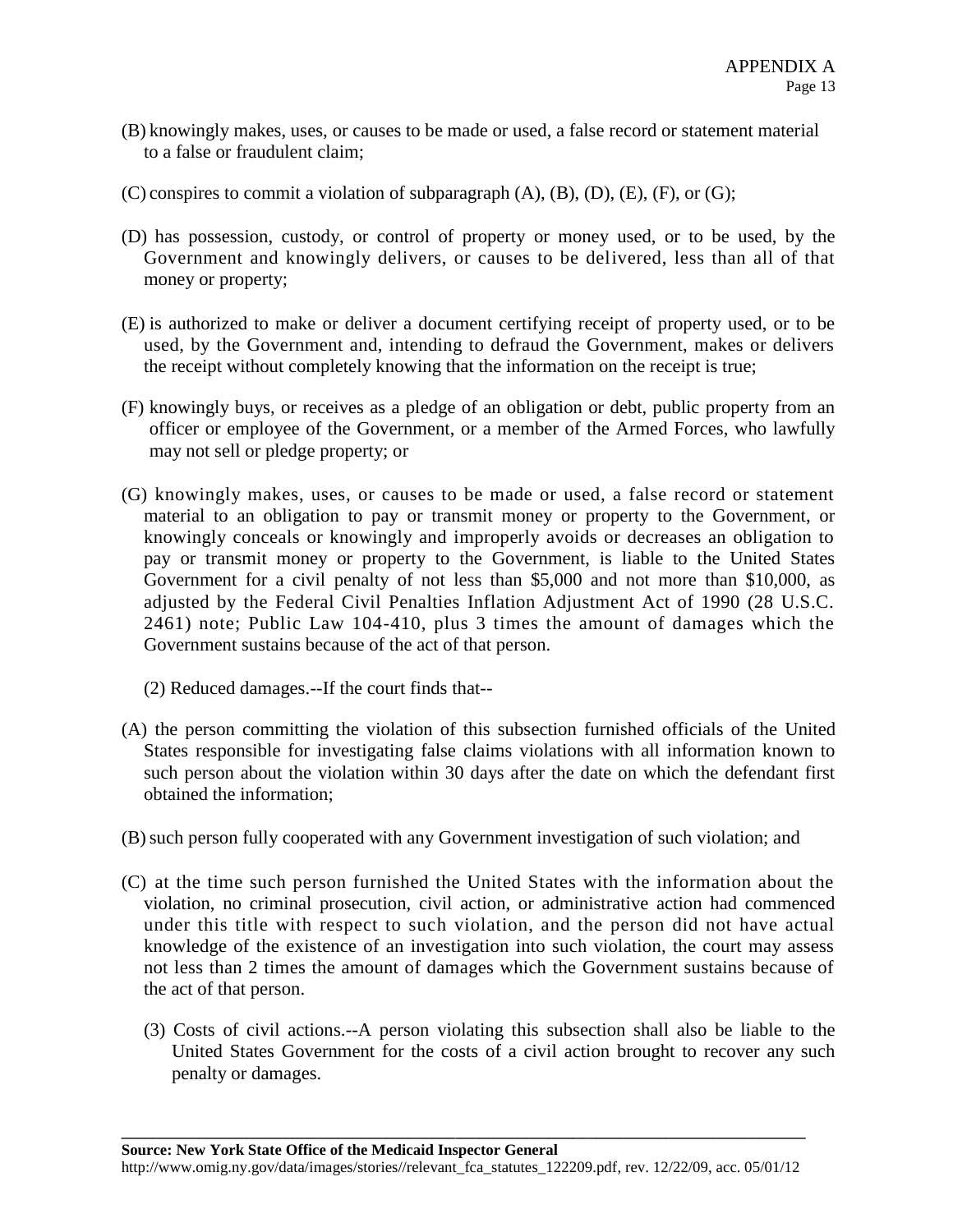- (B) knowingly makes, uses, or causes to be made or used, a false record or statement material to a false or fraudulent claim;
- $(C)$  conspires to commit a violation of subparagraph  $(A)$ ,  $(B)$ ,  $(D)$ ,  $(E)$ ,  $(F)$ , or  $(G)$ ;
- (D) has possession, custody, or control of property or money used, or to be used, by the Government and knowingly delivers, or causes to be delivered, less than all of that money or property;
- (E) is authorized to make or deliver a document certifying receipt of property used, or to be used, by the Government and, intending to defraud the Government, makes or delivers the receipt without completely knowing that the information on the receipt is true;
- (F) knowingly buys, or receives as a pledge of an obligation or debt, public property from an officer or employee of the Government, or a member of the Armed Forces, who lawfully may not sell or pledge property; or
- (G) knowingly makes, uses, or causes to be made or used, a false record or statement material to an obligation to pay or transmit money or property to the Government, or knowingly conceals or knowingly and improperly avoids or decreases an obligation to pay or transmit money or property to the Government, is liable to the United States Government for a civil penalty of not less than \$5,000 and not more than \$10,000, as adjusted by the Federal Civil Penalties Inflation Adjustment Act of 1990 (28 U.S.C. 2461) note; Public Law 104-410, plus 3 times the amount of damages which the Government sustains because of the act of that person.
	- (2) Reduced damages.--If the court finds that--
- (A) the person committing the violation of this subsection furnished officials of the United States responsible for investigating false claims violations with all information known to such person about the violation within 30 days after the date on which the defendant first obtained the information;
- (B)such person fully cooperated with any Government investigation of such violation; and
- (C) at the time such person furnished the United States with the information about the violation, no criminal prosecution, civil action, or administrative action had commenced under this title with respect to such violation, and the person did not have actual knowledge of the existence of an investigation into such violation, the court may assess not less than 2 times the amount of damages which the Government sustains because of the act of that person.
	- (3) Costs of civil actions.--A person violating this subsection shall also be liable to the United States Government for the costs of a civil action brought to recover any such penalty or damages.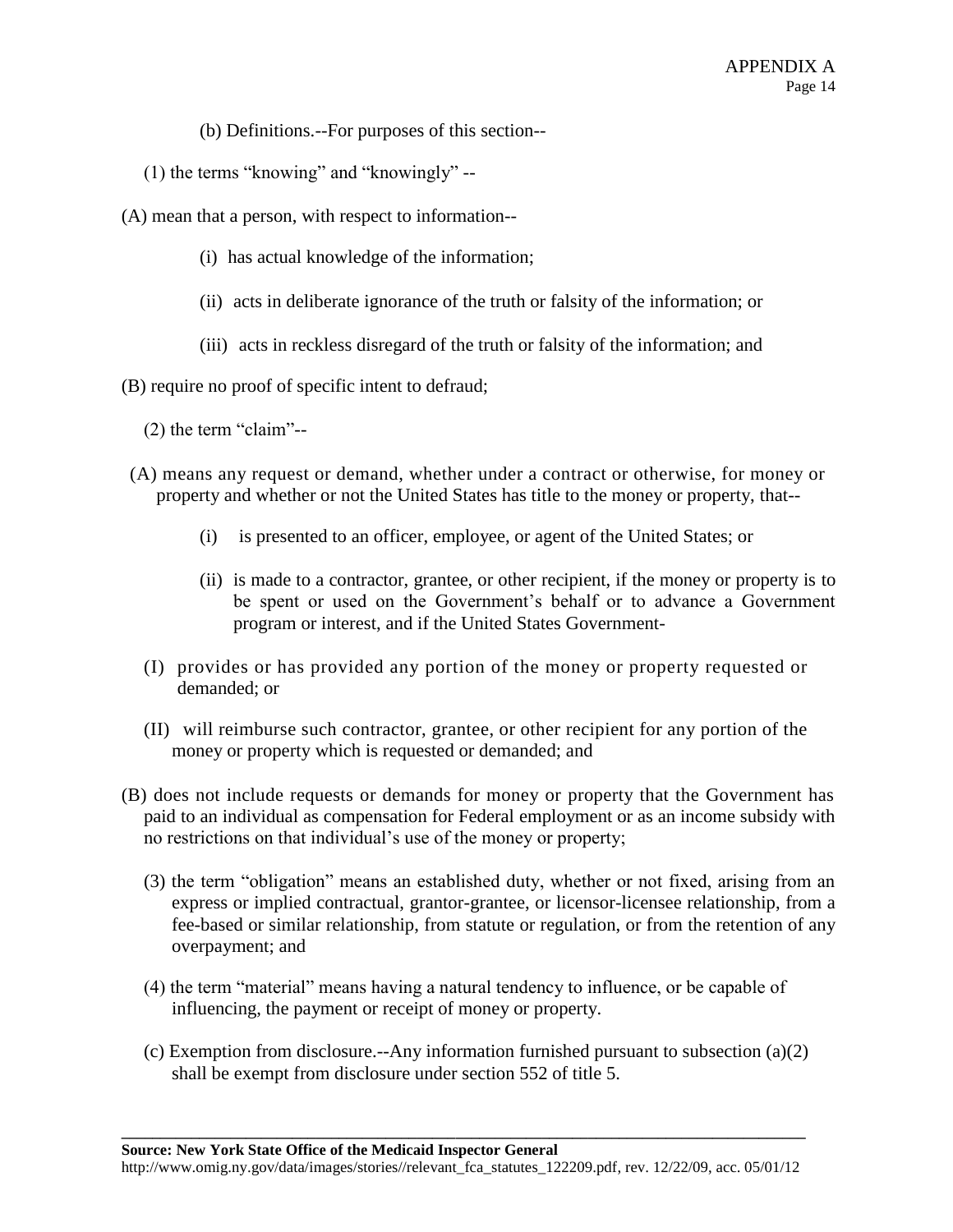(b) Definitions.--For purposes of this section--

- (1) the terms "knowing" and "knowingly" --
- (A) mean that a person, with respect to information--
	- (i) has actual knowledge of the information;
	- (ii) acts in deliberate ignorance of the truth or falsity of the information; or
	- (iii) acts in reckless disregard of the truth or falsity of the information; and
- (B) require no proof of specific intent to defraud;
	- (2) the term "claim"--
- (A) means any request or demand, whether under a contract or otherwise, for money or property and whether or not the United States has title to the money or property, that--
	- (i) is presented to an officer, employee, or agent of the United States; or
	- (ii) is made to a contractor, grantee, or other recipient, if the money or property is to be spent or used on the Government's behalf or to advance a Government program or interest, and if the United States Government-
	- (I) provides or has provided any portion of the money or property requested or demanded; or
	- (II) will reimburse such contractor, grantee, or other recipient for any portion of the money or property which is requested or demanded; and
- (B) does not include requests or demands for money or property that the Government has paid to an individual as compensation for Federal employment or as an income subsidy with no restrictions on that individual's use of the money or property;
	- (3) the term "obligation" means an established duty, whether or not fixed, arising from an express or implied contractual, grantor-grantee, or licensor-licensee relationship, from a fee-based or similar relationship, from statute or regulation, or from the retention of any overpayment; and
	- (4) the term "material" means having a natural tendency to influence, or be capable of influencing, the payment or receipt of money or property.
	- (c) Exemption from disclosure.--Any information furnished pursuant to subsection (a)(2) shall be exempt from disclosure under section 552 of title 5.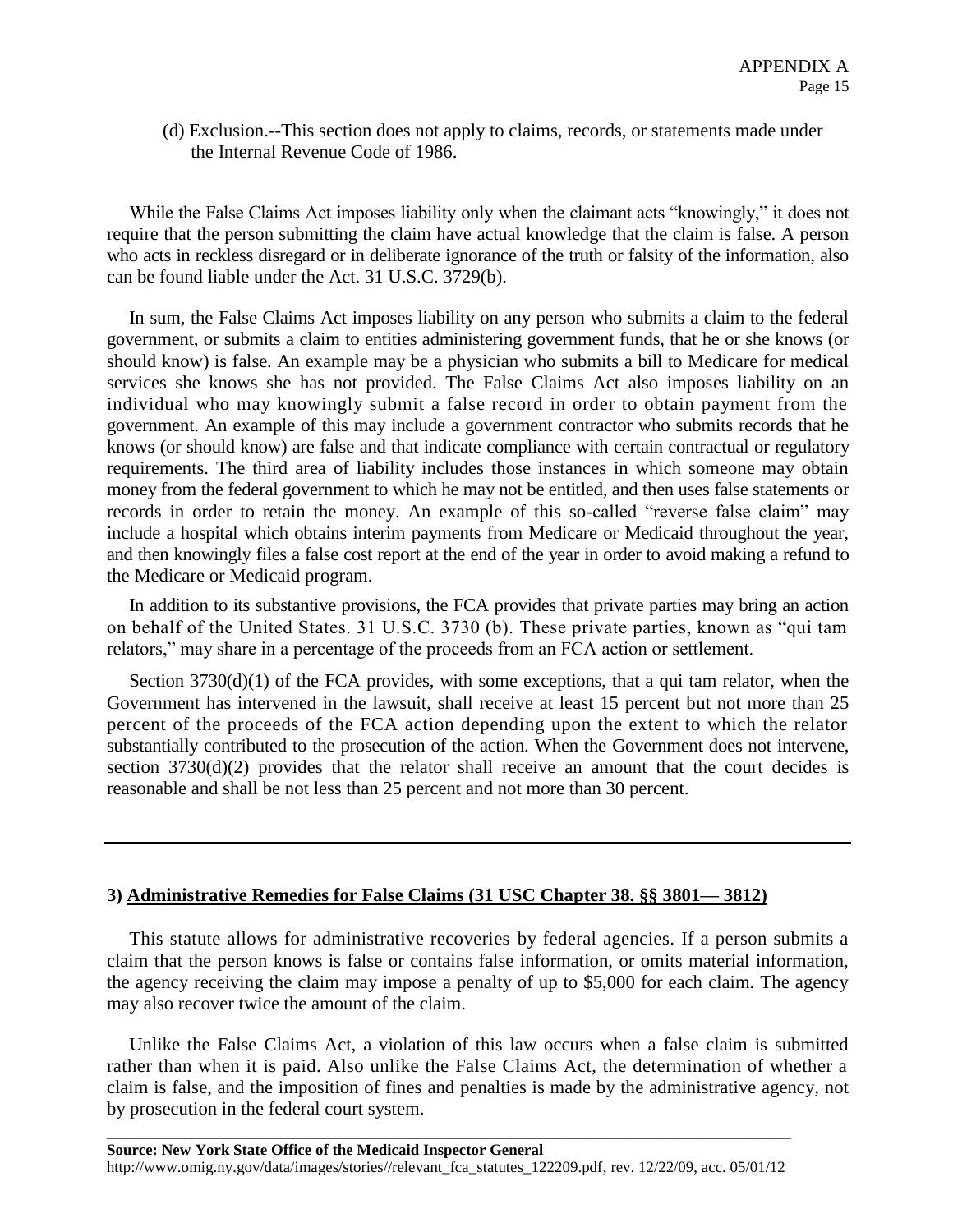(d) Exclusion.--This section does not apply to claims, records, or statements made under the Internal Revenue Code of 1986.

While the False Claims Act imposes liability only when the claimant acts "knowingly," it does not require that the person submitting the claim have actual knowledge that the claim is false. A person who acts in reckless disregard or in deliberate ignorance of the truth or falsity of the information, also can be found liable under the Act. 31 U.S.C. 3729(b).

In sum, the False Claims Act imposes liability on any person who submits a claim to the federal government, or submits a claim to entities administering government funds, that he or she knows (or should know) is false. An example may be a physician who submits a bill to Medicare for medical services she knows she has not provided. The False Claims Act also imposes liability on an individual who may knowingly submit a false record in order to obtain payment from the government. An example of this may include a government contractor who submits records that he knows (or should know) are false and that indicate compliance with certain contractual or regulatory requirements. The third area of liability includes those instances in which someone may obtain money from the federal government to which he may not be entitled, and then uses false statements or records in order to retain the money. An example of this so-called "reverse false claim" may include a hospital which obtains interim payments from Medicare or Medicaid throughout the year, and then knowingly files a false cost report at the end of the year in order to avoid making a refund to the Medicare or Medicaid program.

In addition to its substantive provisions, the FCA provides that private parties may bring an action on behalf of the United States. 31 U.S.C. 3730 (b). These private parties, known as "qui tam relators," may share in a percentage of the proceeds from an FCA action or settlement.

Section  $3730(d)(1)$  of the FCA provides, with some exceptions, that a qui tam relator, when the Government has intervened in the lawsuit, shall receive at least 15 percent but not more than 25 percent of the proceeds of the FCA action depending upon the extent to which the relator substantially contributed to the prosecution of the action. When the Government does not intervene, section  $3730(d)(2)$  provides that the relator shall receive an amount that the court decides is reasonable and shall be not less than 25 percent and not more than 30 percent.

### **3) Administrative Remedies for False Claims (31 USC Chapter 38. §§ 3801— 3812)**

This statute allows for administrative recoveries by federal agencies. If a person submits a claim that the person knows is false or contains false information, or omits material information, the agency receiving the claim may impose a penalty of up to \$5,000 for each claim. The agency may also recover twice the amount of the claim.

Unlike the False Claims Act, a violation of this law occurs when a false claim is submitted rather than when it is paid. Also unlike the False Claims Act, the determination of whether a claim is false, and the imposition of fines and penalties is made by the administrative agency, not by prosecution in the federal court system.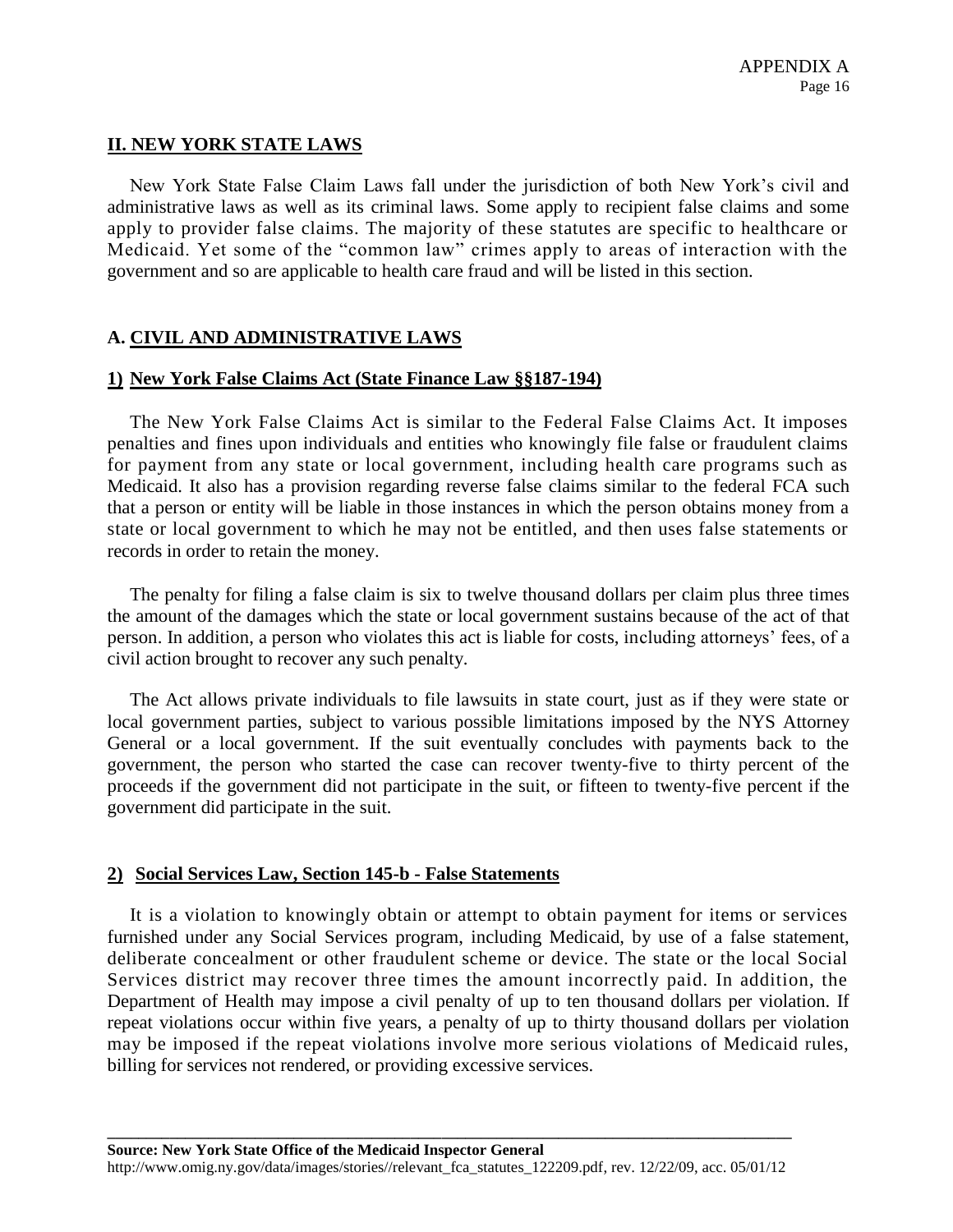### **II. NEW YORK STATE LAWS**

New York State False Claim Laws fall under the jurisdiction of both New York's civil and administrative laws as well as its criminal laws. Some apply to recipient false claims and some apply to provider false claims. The majority of these statutes are specific to healthcare or Medicaid. Yet some of the "common law" crimes apply to areas of interaction with the government and so are applicable to health care fraud and will be listed in this section.

# **A. CIVIL AND ADMINISTRATIVE LAWS**

### **1) New York False Claims Act (State Finance Law §§187-194)**

The New York False Claims Act is similar to the Federal False Claims Act. It imposes penalties and fines upon individuals and entities who knowingly file false or fraudulent claims for payment from any state or local government, including health care programs such as Medicaid. It also has a provision regarding reverse false claims similar to the federal FCA such that a person or entity will be liable in those instances in which the person obtains money from a state or local government to which he may not be entitled, and then uses false statements or records in order to retain the money.

The penalty for filing a false claim is six to twelve thousand dollars per claim plus three times the amount of the damages which the state or local government sustains because of the act of that person. In addition, a person who violates this act is liable for costs, including attorneys' fees, of a civil action brought to recover any such penalty.

The Act allows private individuals to file lawsuits in state court, just as if they were state or local government parties, subject to various possible limitations imposed by the NYS Attorney General or a local government. If the suit eventually concludes with payments back to the government, the person who started the case can recover twenty-five to thirty percent of the proceeds if the government did not participate in the suit, or fifteen to twenty-five percent if the government did participate in the suit.

#### **2) Social Services Law, Section 145-b - False Statements**

It is a violation to knowingly obtain or attempt to obtain payment for items or services furnished under any Social Services program, including Medicaid, by use of a false statement, deliberate concealment or other fraudulent scheme or device. The state or the local Social Services district may recover three times the amount incorrectly paid. In addition, the Department of Health may impose a civil penalty of up to ten thousand dollars per violation. If repeat violations occur within five years, a penalty of up to thirty thousand dollars per violation may be imposed if the repeat violations involve more serious violations of Medicaid rules, billing for services not rendered, or providing excessive services.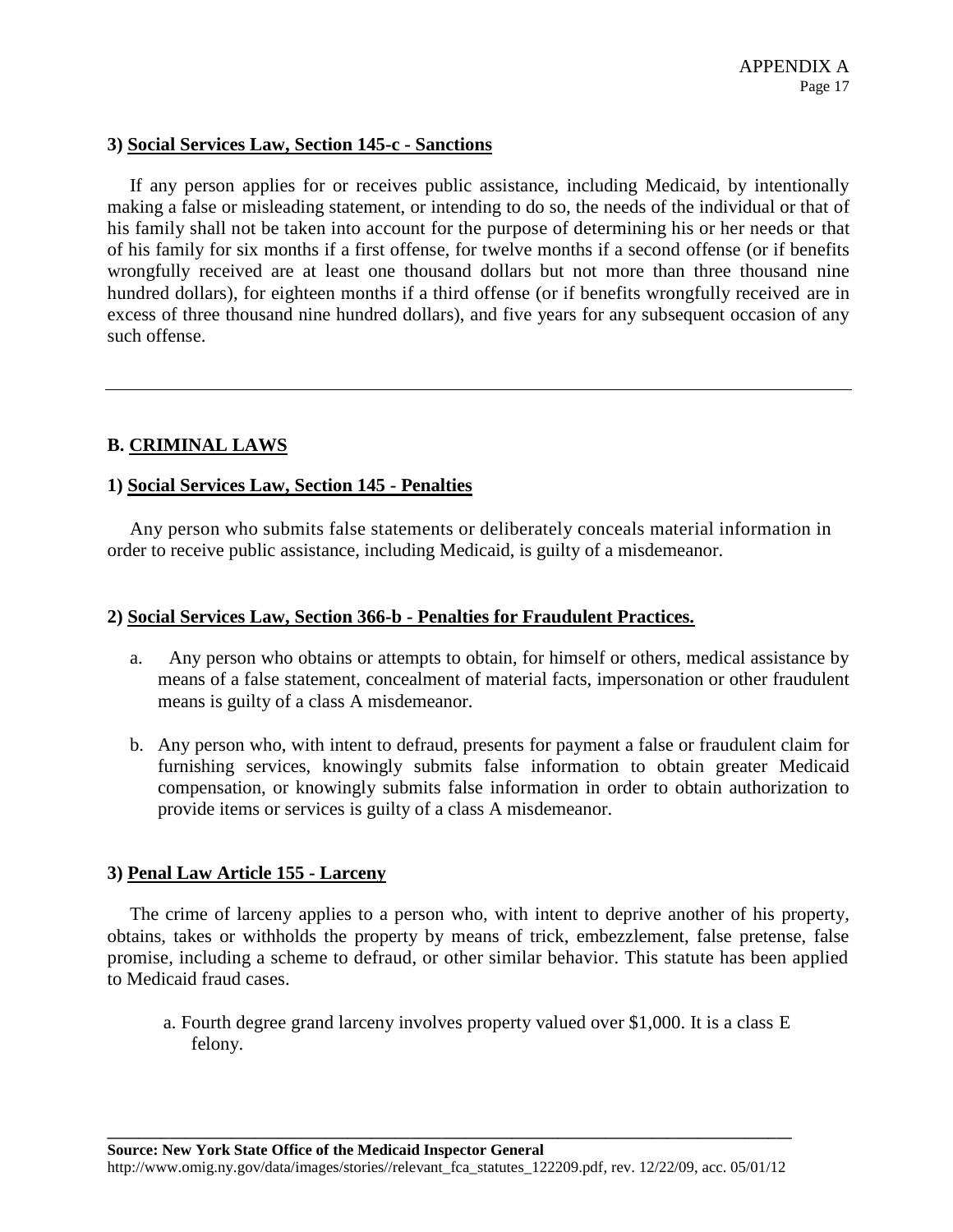# **3) Social Services Law, Section 145-c - Sanctions**

If any person applies for or receives public assistance, including Medicaid, by intentionally making a false or misleading statement, or intending to do so, the needs of the individual or that of his family shall not be taken into account for the purpose of determining his or her needs or that of his family for six months if a first offense, for twelve months if a second offense (or if benefits wrongfully received are at least one thousand dollars but not more than three thousand nine hundred dollars), for eighteen months if a third offense (or if benefits wrongfully received are in excess of three thousand nine hundred dollars), and five years for any subsequent occasion of any such offense.

# **B. CRIMINAL LAWS**

# **1) Social Services Law, Section 145 - Penalties**

Any person who submits false statements or deliberately conceals material information in order to receive public assistance, including Medicaid, is guilty of a misdemeanor.

### **2) Social Services Law, Section 366-b - Penalties for Fraudulent Practices.**

- a. Any person who obtains or attempts to obtain, for himself or others, medical assistance by means of a false statement, concealment of material facts, impersonation or other fraudulent means is guilty of a class A misdemeanor.
- b. Any person who, with intent to defraud, presents for payment a false or fraudulent claim for furnishing services, knowingly submits false information to obtain greater Medicaid compensation, or knowingly submits false information in order to obtain authorization to provide items or services is guilty of a class A misdemeanor.

### **3) Penal Law Article 155 - Larceny**

The crime of larceny applies to a person who, with intent to deprive another of his property, obtains, takes or withholds the property by means of trick, embezzlement, false pretense, false promise, including a scheme to defraud, or other similar behavior. This statute has been applied to Medicaid fraud cases.

a. Fourth degree grand larceny involves property valued over \$1,000. It is a class E felony.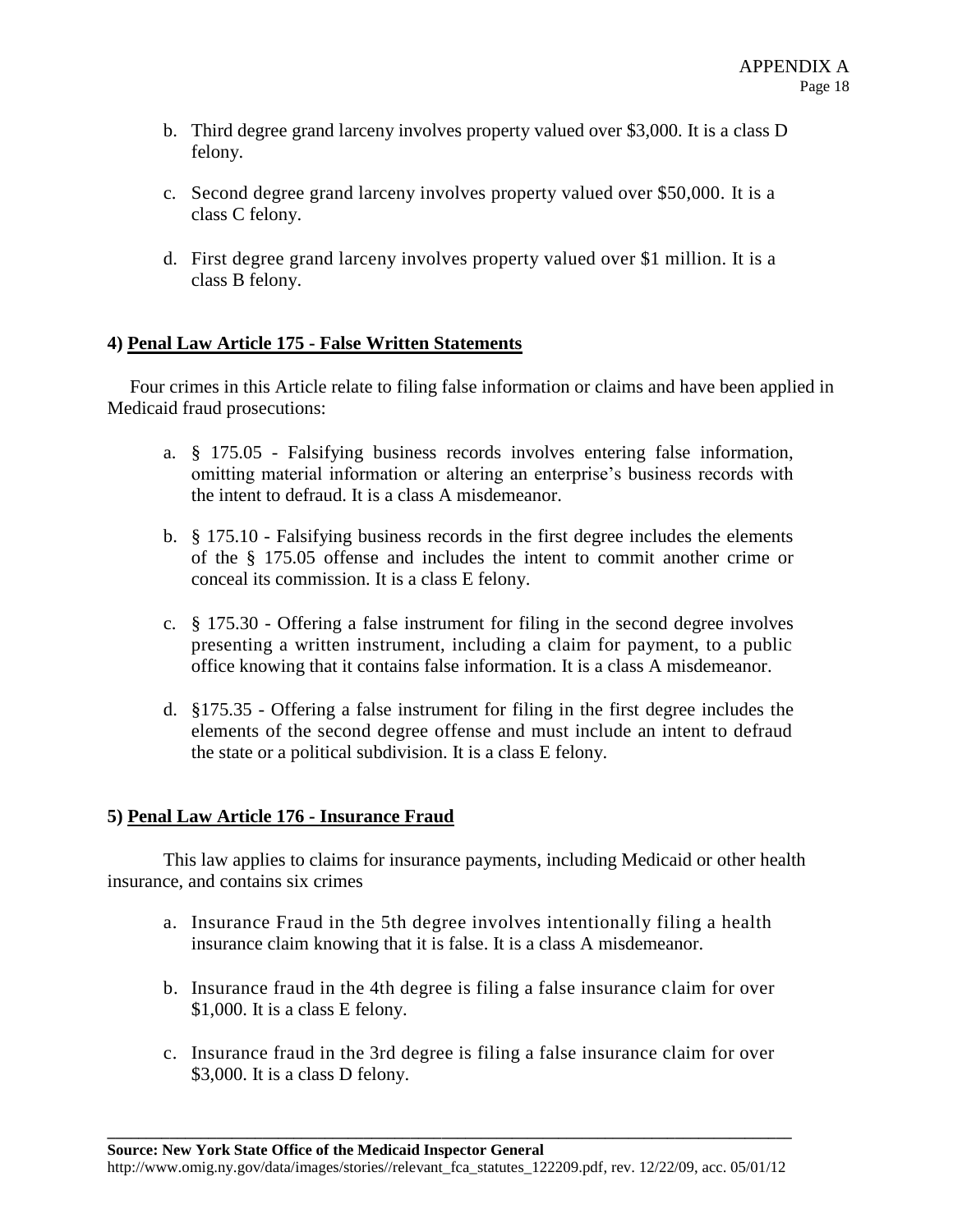- b. Third degree grand larceny involves property valued over \$3,000. It is a class D felony.
- c. Second degree grand larceny involves property valued over \$50,000. It is a class C felony.
- d. First degree grand larceny involves property valued over \$1 million. It is a class B felony.

# **4) Penal Law Article 175 - False Written Statements**

Four crimes in this Article relate to filing false information or claims and have been applied in Medicaid fraud prosecutions:

- a. § 175.05 Falsifying business records involves entering false information, omitting material information or altering an enterprise's business records with the intent to defraud. It is a class A misdemeanor.
- b. § 175.10 Falsifying business records in the first degree includes the elements of the § 175.05 offense and includes the intent to commit another crime or conceal its commission. It is a class E felony.
- c. § 175.30 Offering a false instrument for filing in the second degree involves presenting a written instrument, including a claim for payment, to a public office knowing that it contains false information. It is a class A misdemeanor.
- d. §175.35 Offering a false instrument for filing in the first degree includes the elements of the second degree offense and must include an intent to defraud the state or a political subdivision. It is a class E felony.

# **5) Penal Law Article 176 - Insurance Fraud**

This law applies to claims for insurance payments, including Medicaid or other health insurance, and contains six crimes

- a. Insurance Fraud in the 5th degree involves intentionally filing a health insurance claim knowing that it is false. It is a class A misdemeanor.
- b. Insurance fraud in the 4th degree is filing a false insurance claim for over \$1,000. It is a class E felony.
- c. Insurance fraud in the 3rd degree is filing a false insurance claim for over \$3,000. It is a class D felony.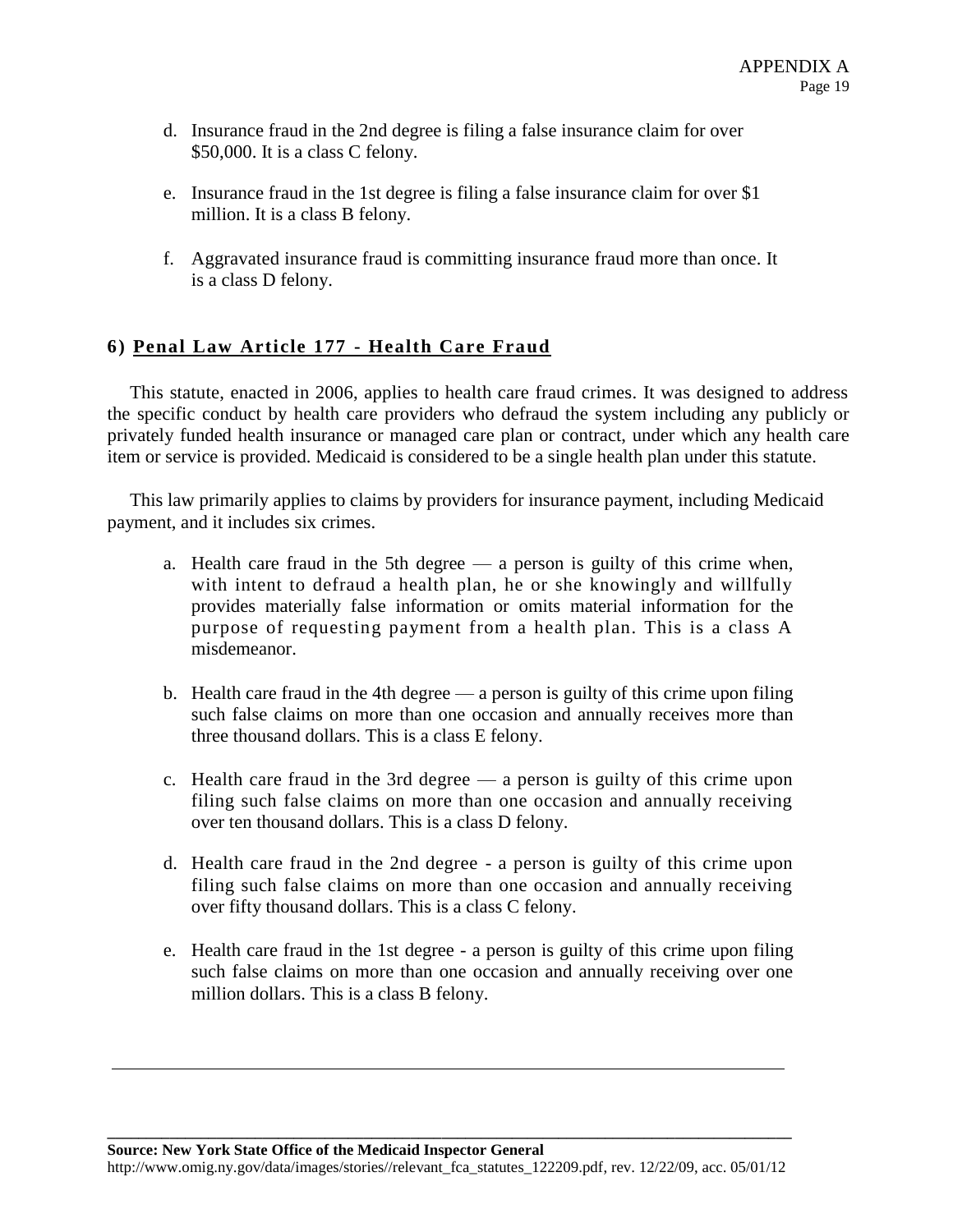- d. Insurance fraud in the 2nd degree is filing a false insurance claim for over \$50,000. It is a class C felony.
- e. Insurance fraud in the 1st degree is filing a false insurance claim for over \$1 million. It is a class B felony.
- f. Aggravated insurance fraud is committing insurance fraud more than once. It is a class D felony.

# **6) Penal Law Article 177 - Health Care Fraud**

This statute, enacted in 2006, applies to health care fraud crimes. It was designed to address the specific conduct by health care providers who defraud the system including any publicly or privately funded health insurance or managed care plan or contract, under which any health care item or service is provided. Medicaid is considered to be a single health plan under this statute.

This law primarily applies to claims by providers for insurance payment, including Medicaid payment, and it includes six crimes.

- a. Health care fraud in the 5th degree a person is guilty of this crime when, with intent to defraud a health plan, he or she knowingly and willfully provides materially false information or omits material information for the purpose of requesting payment from a health plan. This is a class A misdemeanor.
- b. Health care fraud in the 4th degree a person is guilty of this crime upon filing such false claims on more than one occasion and annually receives more than three thousand dollars. This is a class E felony.
- c. Health care fraud in the 3rd degree a person is guilty of this crime upon filing such false claims on more than one occasion and annually receiving over ten thousand dollars. This is a class D felony.
- d. Health care fraud in the 2nd degree a person is guilty of this crime upon filing such false claims on more than one occasion and annually receiving over fifty thousand dollars. This is a class C felony.
- e. Health care fraud in the 1st degree a person is guilty of this crime upon filing such false claims on more than one occasion and annually receiving over one million dollars. This is a class B felony.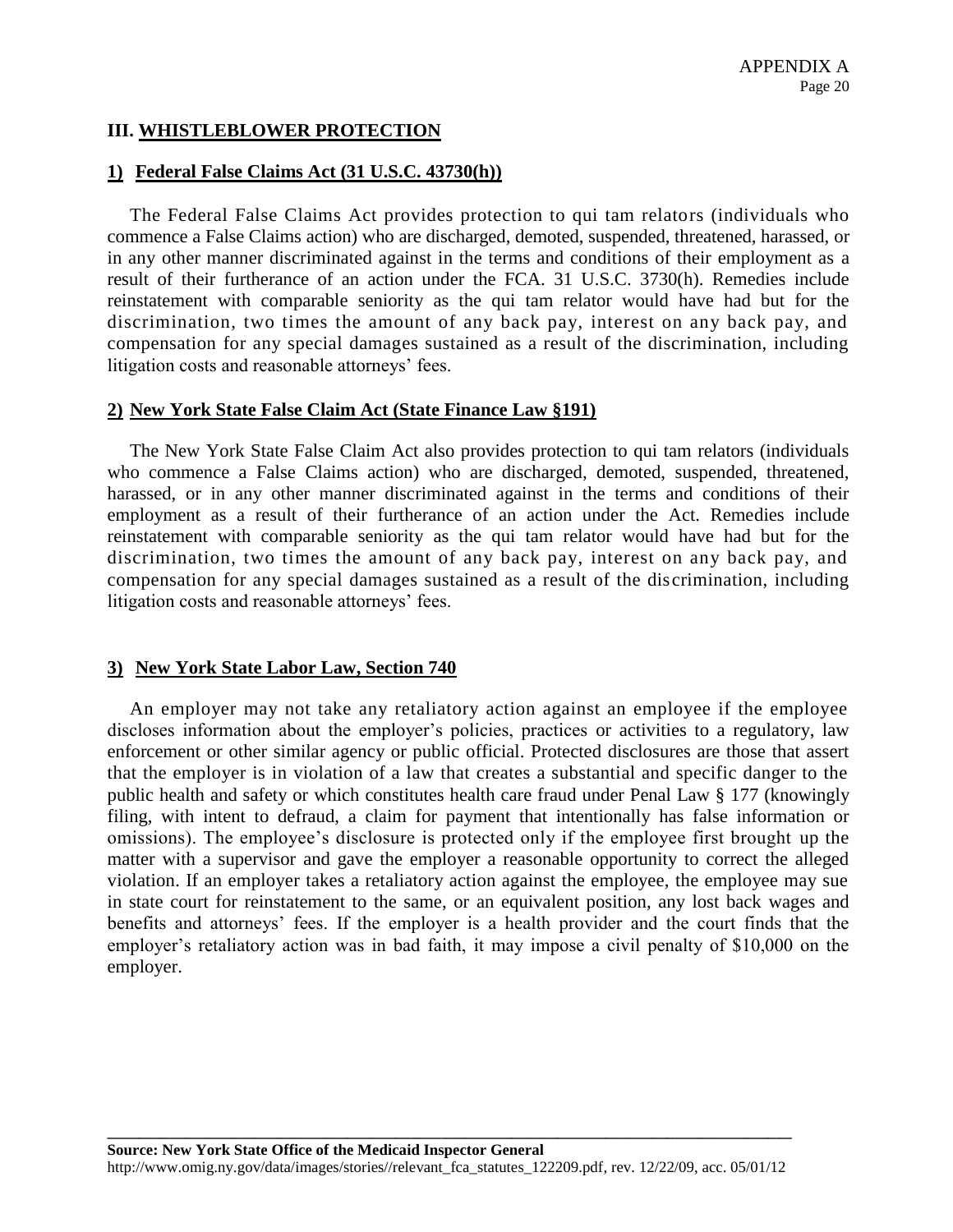### **III. WHISTLEBLOWER PROTECTION**

#### **1) Federal False Claims Act (31 U.S.C. 43730(h))**

The Federal False Claims Act provides protection to qui tam relators (individuals who commence a False Claims action) who are discharged, demoted, suspended, threatened, harassed, or in any other manner discriminated against in the terms and conditions of their employment as a result of their furtherance of an action under the FCA. 31 U.S.C. 3730(h). Remedies include reinstatement with comparable seniority as the qui tam relator would have had but for the discrimination, two times the amount of any back pay, interest on any back pay, and compensation for any special damages sustained as a result of the discrimination, including litigation costs and reasonable attorneys' fees.

### **2) New York State False Claim Act (State Finance Law §191)**

The New York State False Claim Act also provides protection to qui tam relators (individuals who commence a False Claims action) who are discharged, demoted, suspended, threatened, harassed, or in any other manner discriminated against in the terms and conditions of their employment as a result of their furtherance of an action under the Act. Remedies include reinstatement with comparable seniority as the qui tam relator would have had but for the discrimination, two times the amount of any back pay, interest on any back pay, and compensation for any special damages sustained as a result of the discrimination, including litigation costs and reasonable attorneys' fees.

#### **3) New York State Labor Law, Section 740**

An employer may not take any retaliatory action against an employee if the employee discloses information about the employer's policies, practices or activities to a regulatory, law enforcement or other similar agency or public official. Protected disclosures are those that assert that the employer is in violation of a law that creates a substantial and specific danger to the public health and safety or which constitutes health care fraud under Penal Law § 177 (knowingly filing, with intent to defraud, a claim for payment that intentionally has false information or omissions). The employee's disclosure is protected only if the employee first brought up the matter with a supervisor and gave the employer a reasonable opportunity to correct the alleged violation. If an employer takes a retaliatory action against the employee, the employee may sue in state court for reinstatement to the same, or an equivalent position, any lost back wages and benefits and attorneys' fees. If the employer is a health provider and the court finds that the employer's retaliatory action was in bad faith, it may impose a civil penalty of \$10,000 on the employer.